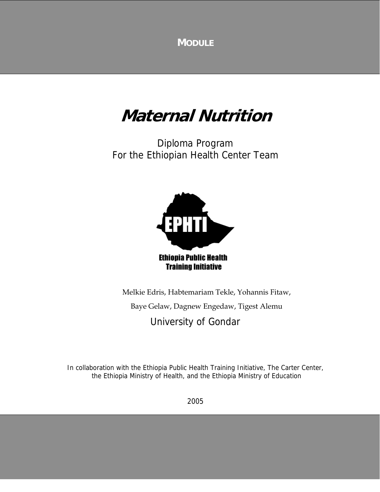**MODULE**

# **Maternal Nutrition**

Diploma Program For the Ethiopian Health Center Team



Melkie Edris, Habtemariam Tekle, Yohannis Fitaw, Baye Gelaw, Dagnew Engedaw, Tigest Alemu

University of Gondar

In collaboration with the Ethiopia Public Health Training Initiative, The Carter Center, the Ethiopia Ministry of Health, and the Ethiopia Ministry of Education

2005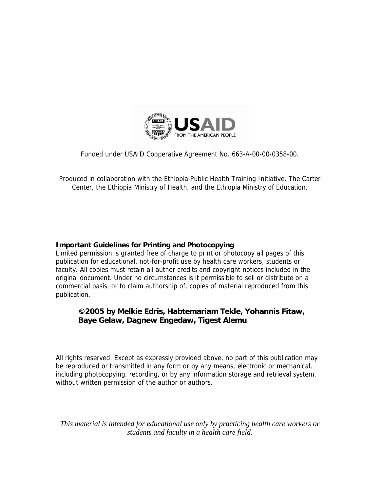

Funded under USAID Cooperative Agreement No. 663-A-00-00-0358-00.

Produced in collaboration with the Ethiopia Public Health Training Initiative, The Carter Center, the Ethiopia Ministry of Health, and the Ethiopia Ministry of Education.

#### **Important Guidelines for Printing and Photocopying**

Limited permission is granted free of charge to print or photocopy all pages of this publication for educational, not-for-profit use by health care workers, students or faculty. All copies must retain all author credits and copyright notices included in the original document. Under no circumstances is it permissible to sell or distribute on a commercial basis, or to claim authorship of, copies of material reproduced from this publication.

#### **©2005 by Melkie Edris, Habtemariam Tekle, Yohannis Fitaw, Baye Gelaw, Dagnew Engedaw, Tigest Alemu**

All rights reserved. Except as expressly provided above, no part of this publication may be reproduced or transmitted in any form or by any means, electronic or mechanical, including photocopying, recording, or by any information storage and retrieval system, without written permission of the author or authors.

*This material is intended for educational use only by practicing health care workers or students and faculty in a health care field.*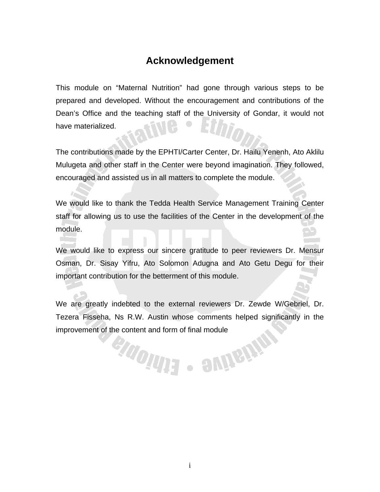#### **Acknowledgement**

This module on "Maternal Nutrition" had gone through various steps to be prepared and developed. Without the encouragement and contributions of the Dean's Office and the teaching staff of the University of Gondar, it would not have materialized.

The contributions made by the EPHTI/Carter Center, Dr. Hailu Yenenh, Ato Aklilu Mulugeta and other staff in the Center were beyond imagination. They followed, encouraged and assisted us in all matters to complete the module.

We would like to thank the Tedda Health Service Management Training Center staff for allowing us to use the facilities of the Center in the development of the module.

We would like to express our sincere gratitude to peer reviewers Dr. Mensur Osman, Dr. Sisay Yifru, Ato Solomon Adugna and Ato Getu Degu for their important contribution for the betterment of this module.

We are greatly indebted to the external reviewers Dr. Zewde W/Gebriel, Dr. Tezera Fisseha, Ns R.W. Austin whose comments helped significantly in the improvement of the content and form of final module

endonus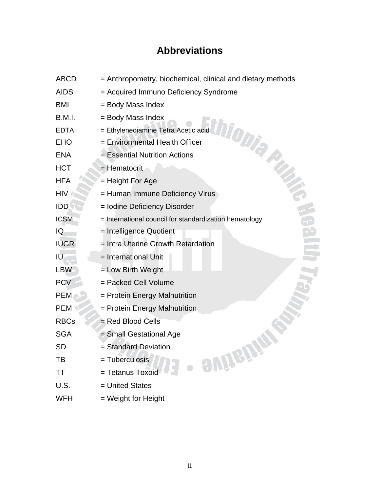### **Abbreviations**

| <b>ABCD</b> | = Anthropometry, biochemical, clinical and dietary methods |
|-------------|------------------------------------------------------------|
| <b>AIDS</b> | = Acquired Immuno Deficiency Syndrome                      |
| <b>BMI</b>  | = Body Mass Index                                          |
| B.M.I.      | = Body Mass Index                                          |
| <b>EDTA</b> | = Ethylenediamine Tetra Acetic acid                        |
| <b>EHO</b>  | DIDIA<br>= Environmental Health Officer                    |
| <b>ENA</b>  | = Essential Nutrition Actions                              |
| <b>HCT</b>  | = Hematocrit                                               |
| <b>HFA</b>  | = Height For Age                                           |
| <b>HIV</b>  | = Human Immune Deficiency Virus                            |
| <b>IDD</b>  | = Iodine Deficiency Disorder                               |
| <b>ICSM</b> | = International council for standardization hematology     |
| IQ          | = Intelligence Quotient                                    |
| <b>IUGR</b> | = Intra Uterine Growth Retardation                         |
| IU          | = International Unit                                       |
| <b>LBW</b>  | = Low Birth Weight                                         |
| <b>PCV</b>  | = Packed Cell Volume                                       |
| <b>PEM</b>  | = Protein Energy Malnutrition                              |
| <b>PEM</b>  | = Protein Energy Malnutrition                              |
| <b>RBCs</b> | = Red Blood Cells                                          |
| <b>SGA</b>  | = Small Gestational Age                                    |
| <b>SD</b>   | = Standard Deviation                                       |
| TВ          | · avüein<br>= Tuberculosis                                 |
| ΤT          | = Tetanus Toxoid                                           |
| U.S.        | = United States                                            |
| <b>WFH</b>  | = Weight for Height                                        |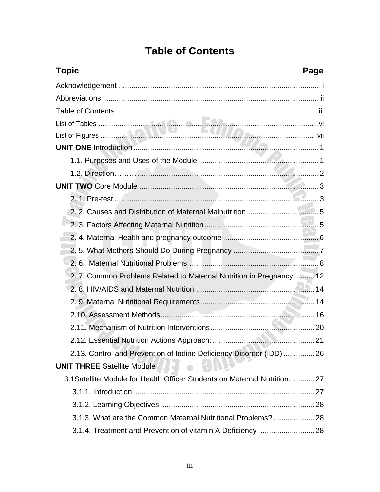# **Table of Contents**

<span id="page-4-0"></span>

| <b>Topic</b><br>Page                                                        |
|-----------------------------------------------------------------------------|
|                                                                             |
|                                                                             |
|                                                                             |
|                                                                             |
|                                                                             |
|                                                                             |
|                                                                             |
|                                                                             |
|                                                                             |
|                                                                             |
|                                                                             |
|                                                                             |
|                                                                             |
|                                                                             |
|                                                                             |
| 2. 7. Common Problems Related to Maternal Nutrition in Pregnancy 12         |
|                                                                             |
|                                                                             |
|                                                                             |
|                                                                             |
|                                                                             |
| 2.13. Control and Prevention of Iodine Deficiency Disorder (IDD) 26         |
| <b>UNIT THREE Satellite Module</b>                                          |
| 3.1 Satellite Module for Health Officer Students on Maternal Nutrition.  27 |
|                                                                             |
|                                                                             |
| 3.1.3. What are the Common Maternal Nutritional Problems?28                 |
|                                                                             |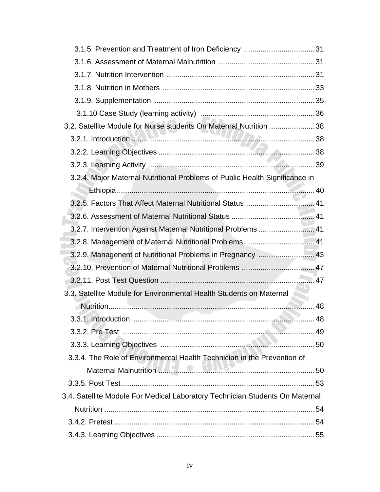| 3.2. Satellite Module for Nurse students On Maternal Nutrition 38            |  |
|------------------------------------------------------------------------------|--|
|                                                                              |  |
|                                                                              |  |
|                                                                              |  |
| 3.2.4. Major Maternal Nutritional Problems of Public Health Significance in  |  |
|                                                                              |  |
| 3.2.5. Factors That Affect Maternal Nutritional Status 41                    |  |
|                                                                              |  |
| 3.2.7. Intervention Against Maternal Nutritional Problems  41                |  |
| 3.2.8. Management of Maternal Nutritional Problems 41                        |  |
| 3.2.9. Managenent of Nutritional Problems in Pregnancy  43                   |  |
|                                                                              |  |
|                                                                              |  |
| 3.3. Satellite Module for Environmental Health Students on Maternal          |  |
|                                                                              |  |
|                                                                              |  |
|                                                                              |  |
|                                                                              |  |
| 3.3.4. The Role of Environmental Health Technician in the Prevention of      |  |
|                                                                              |  |
|                                                                              |  |
| 3.4. Satellite Module For Medical Laboratory Technician Students On Maternal |  |
|                                                                              |  |
|                                                                              |  |
|                                                                              |  |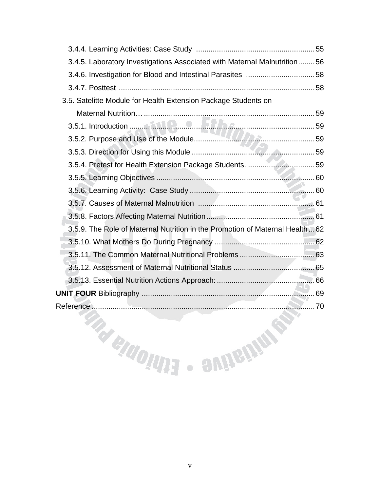| 3.4.5. Laboratory Investigations Associated with Maternal Malnutrition56    |  |
|-----------------------------------------------------------------------------|--|
|                                                                             |  |
|                                                                             |  |
| 3.5. Satelitte Module for Health Extension Package Students on              |  |
|                                                                             |  |
|                                                                             |  |
|                                                                             |  |
|                                                                             |  |
| 3.5.4. Pretest for Health Extension Package Students. 59                    |  |
|                                                                             |  |
|                                                                             |  |
|                                                                             |  |
|                                                                             |  |
| 3.5.9. The Role of Maternal Nutrition in the Promotion of Maternal Health62 |  |
|                                                                             |  |
|                                                                             |  |
|                                                                             |  |
|                                                                             |  |
|                                                                             |  |
|                                                                             |  |
|                                                                             |  |
|                                                                             |  |
|                                                                             |  |
| READING SINGHAM                                                             |  |
|                                                                             |  |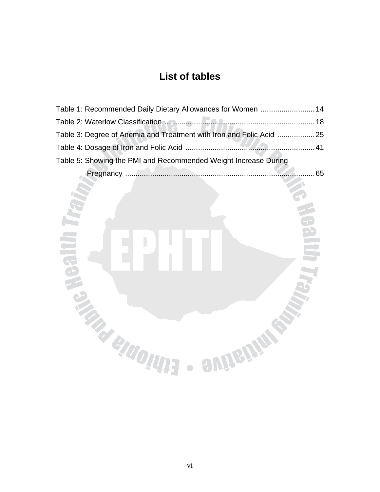# **List of tables**

| Table 1: Recommended Daily Dietary Allowances for Women  14         |     |
|---------------------------------------------------------------------|-----|
|                                                                     |     |
| Table 3: Degree of Anemia and Treatment with Iron and Folic Acid 25 |     |
|                                                                     |     |
| Table 5: Showing the PMI and Recommended Weight Increase During     |     |
|                                                                     | 65. |
|                                                                     |     |

**TAR** 

**aujenine** 

 $\begin{array}{c} \hline \end{array}$ 

**TANGINE** 

ng K

**REAL** 

 $\begin{array}{c} \bullet \\ \bullet \end{array}$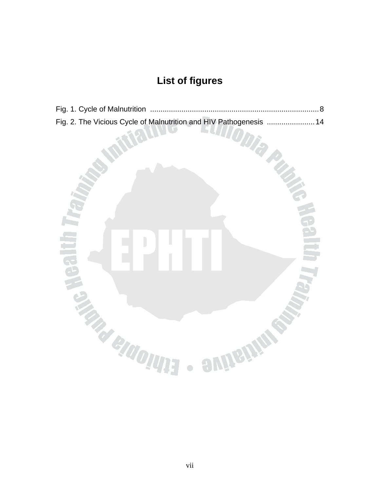# **List of figures**

| Fig. 2. The Vicious Cycle of Malnutrition and HIV Pathogenesis  14 |  |
|--------------------------------------------------------------------|--|

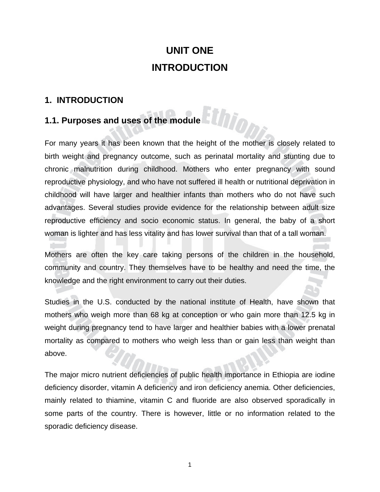# **UNIT ONE INTRODUCTION**

#### **1. INTRODUCTION**

#### **1.1. Purposes and uses of the module**

For many years it has been known that the height of the mother is closely related to birth weight and pregnancy outcome, such as perinatal mortality and stunting due to chronic malnutrition during childhood. Mothers who enter pregnancy with sound reproductive physiology, and who have not suffered ill health or nutritional deprivation in childhood will have larger and healthier infants than mothers who do not have such advantages. Several studies provide evidence for the relationship between adult size reproductive efficiency and socio economic status. In general, the baby of a short woman is lighter and has less vitality and has lower survival than that of a tall woman.

Mothers are often the key care taking persons of the children in the household, community and country. They themselves have to be healthy and need the time, the knowledge and the right environment to carry out their duties.

Studies in the U.S. conducted by the national institute of Health, have shown that mothers who weigh more than 68 kg at conception or who gain more than 12.5 kg in weight during pregnancy tend to have larger and healthier babies with a lower prenatal mortality as compared to mothers who weigh less than or gain less than weight than above.

The major micro nutrient deficiencies of public health importance in Ethiopia are iodine deficiency disorder, vitamin A deficiency and iron deficiency anemia. Other deficiencies, mainly related to thiamine, vitamin C and fluoride are also observed sporadically in some parts of the country. There is however, little or no information related to the sporadic deficiency disease.

1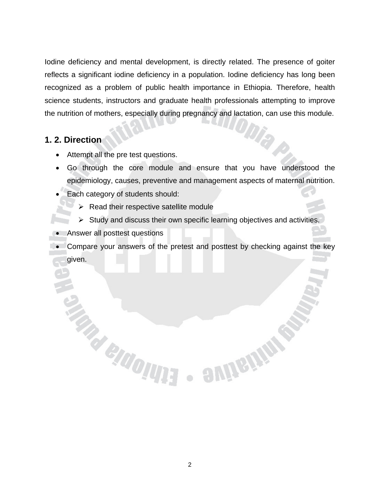Iodine deficiency and mental development, is directly related. The presence of goiter reflects a significant iodine deficiency in a population. Iodine deficiency has long been recognized as a problem of public health importance in Ethiopia. Therefore, health science students, instructors and graduate health professionals attempting to improve the nutrition of mothers, especially during pregnancy and lactation, can use this module.

#### **1. 2. Direction**

- Attempt all the pre test questions.
- Go through the core module and ensure that you have understood the epidemiology, causes, preventive and management aspects of maternal nutrition.

Die

emissine

• Each category of students should:

**TAN BINOITIES** 

- $\triangleright$  Read their respective satellite module
- $\triangleright$  Study and discuss their own specific learning objectives and activities.
- Answer all posttest questions
- Compare your answers of the pretest and posttest by checking against the key given.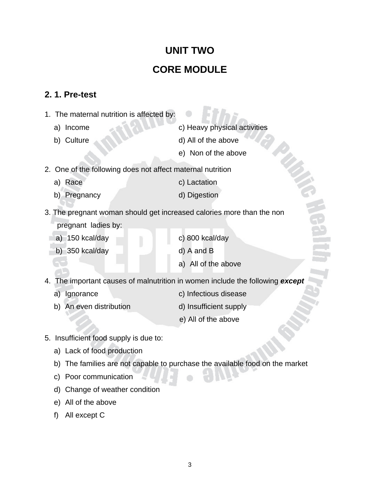# **UNIT TWO CORE MODULE**

#### **2. 1. Pre-test**

- 1. The maternal nutrition is affected by:
	- a) Income c) Heavy physical activities
	-
	- b) Culture d) All of the above
		- e) Non of the above
- 2. One of the following does not affect maternal nutrition
	- a) Race c) Lactation
	- b) Pregnancy d) Digestion
- 
- 3. The pregnant woman should get increased calories more than the non
	- pregnant ladies by:
	- a) 150 kcal/day c) 800 kcal/day
		- b) 350 kcal/day d) A and B
- -
	- a) All of the above
- 4. The important causes of malnutrition in women include the following *except*
	-
	- a) Ignorance c) Infectious disease
	- b) An even distribution d) Insufficient supply
		-
		- e) All of the above
- 5. Insufficient food supply is due to:
	- a) Lack of food production
	- b) The families are not capable to purchase the available food on the market
	- c) Poor communication
	- d) Change of weather condition
	- e) All of the above
	- f) All except C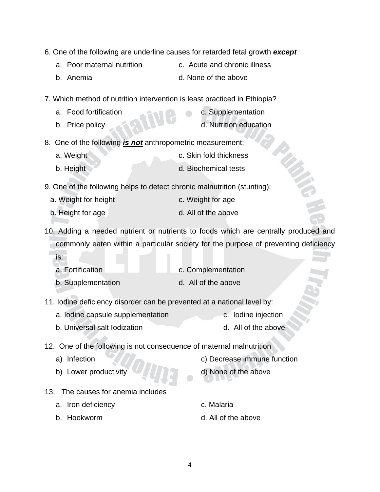- 6. One of the following are underline causes for retarded fetal growth *except*
	- a. Poor maternal nutrition **c.** Acute and chronic illness
	- b. Anemia d. None of the above
- 7. Which method of nutrition intervention is least practiced in Ethiopia?
	- a. Food fortification c. Supplementation b. Price policy **b.** Nutrition education

8. One of the following *is not* anthropometric measurement:

- a. Weight **c.** Skin fold thickness b. Height d. Biochemical tests
- 9. One of the following helps to detect chronic malnutrition (stunting):
	- a. Weight for height c. Weight for age
	- b. Height for age d. All of the above
- 10. Adding a needed nutrient or nutrients to foods which are centrally produced and commonly eaten within a particular society for the purpose of preventing deficiency is:

| a. Fortification   | c. Complementation  |
|--------------------|---------------------|
| b. Supplementation | d. All of the above |

- 11. Iodine deficiency disorder can be prevented at a national level by:
	- a. Iodine capsule supplementation c. Iodine injection
	- b. Universal salt lodization d. All of the above

12. One of the following is not consequence of maternal malnutrition

- 
- b) Lower productivity d) None of the above
- a) Infection c) Decrease immune function
	-
- 13. The causes for anemia includes
	- a. Iron deficiency example a c. Malaria
	-
- 
- b. Hookworm d. All of the above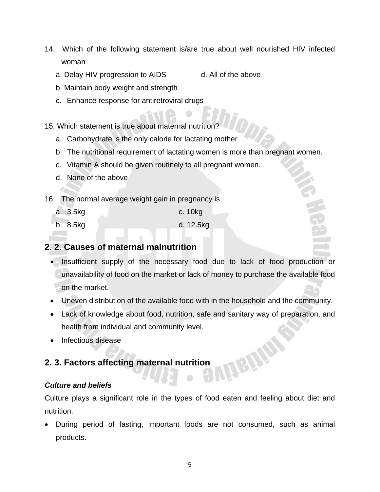- 14. Which of the following statement is/are true about well nourished HIV infected woman
	- a. Delay HIV progression to AIDS d. All of the above
	- b. Maintain body weight and strength
	- c. Enhance response for antiretroviral drugs
- 15. Which statement is true about maternal nutrition?
	- a. Carbohydrate is the only calorie for lactating mother
	- b. The nutritional requirement of lactating women is more than pregnant women.
	- c. Vitamin A should be given routinely to all pregnant women.
	- d. None of the above
- 16. The normal average weight gain in pregnancy is
	- a. 3.5kg c. 10kg
	- b. 8.5kg d. 12.5kg

#### **2. 2. Causes of maternal malnutrition**

- Insufficient supply of the necessary food due to lack of food production or unavailability of food on the market or lack of money to purchase the available food on the market.
- Uneven distribution of the available food with in the household and the community.
- Lack of knowledge about food, nutrition, safe and sanitary way of preparation, and health from individual and community level.
- Infectious disease

# **2. 3. Factors affecting maternal nutrition and half and half and half and half and half and half and half and half and half and half and half and half and half and half and half and half and half and half and half and hal**

#### *Culture and beliefs*

Culture plays a significant role in the types of food eaten and feeling about diet and nutrition.

• During period of fasting, important foods are not consumed, such as animal products.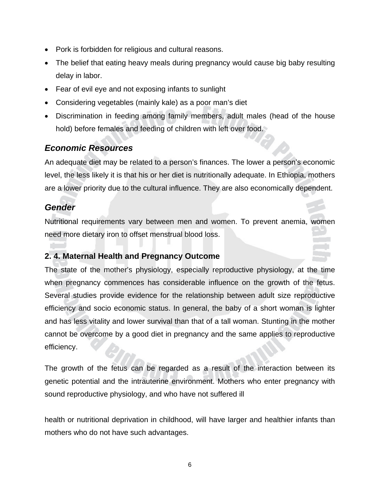- Pork is forbidden for religious and cultural reasons.
- The belief that eating heavy meals during pregnancy would cause big baby resulting delay in labor.
- Fear of evil eye and not exposing infants to sunlight
- Considering vegetables (mainly kale) as a poor man's diet
- Discrimination in feeding among family members, adult males (head of the house hold) before females and feeding of children with left over food.

#### *Economic Resources*

An adequate diet may be related to a person's finances. The lower a person's economic level, the less likely it is that his or her diet is nutritionally adequate. In Ethiopia, mothers are a lower priority due to the cultural influence. They are also economically dependent.

#### *Gender*

Nutritional requirements vary between men and women. To prevent anemia, women need more dietary iron to offset menstrual blood loss.

#### **2. 4. Maternal Health and Pregnancy Outcome**

The state of the mother's physiology, especially reproductive physiology, at the time when pregnancy commences has considerable influence on the growth of the fetus. Several studies provide evidence for the relationship between adult size reproductive efficiency and socio economic status. In general, the baby of a short woman is lighter and has less vitality and lower survival than that of a tall woman. Stunting in the mother cannot be overcome by a good diet in pregnancy and the same applies to reproductive efficiency.

The growth of the fetus can be regarded as a result of the interaction between its genetic potential and the intrauterine environment. Mothers who enter pregnancy with sound reproductive physiology, and who have not suffered ill

health or nutritional deprivation in childhood, will have larger and healthier infants than mothers who do not have such advantages.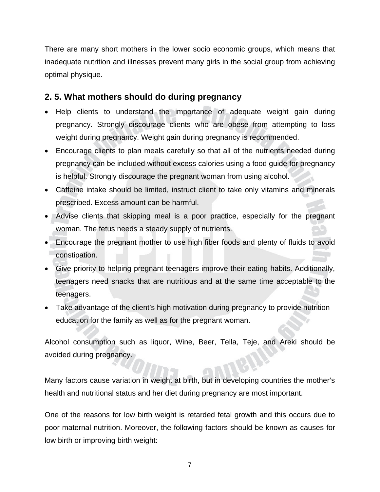There are many short mothers in the lower socio economic groups, which means that inadequate nutrition and illnesses prevent many girls in the social group from achieving optimal physique.

#### **2. 5. What mothers should do during pregnancy**

- Help clients to understand the importance of adequate weight gain during pregnancy. Strongly discourage clients who are obese from attempting to loss weight during pregnancy. Weight gain during pregnancy is recommended.
- Encourage clients to plan meals carefully so that all of the nutrients needed during pregnancy can be included without excess calories using a food guide for pregnancy is helpful. Strongly discourage the pregnant woman from using alcohol.
- Caffeine intake should be limited, instruct client to take only vitamins and minerals prescribed. Excess amount can be harmful.
- Advise clients that skipping meal is a poor practice, especially for the pregnant woman. The fetus needs a steady supply of nutrients.
- Encourage the pregnant mother to use high fiber foods and plenty of fluids to avoid constipation.
- Give priority to helping pregnant teenagers improve their eating habits. Additionally, teenagers need snacks that are nutritious and at the same time acceptable to the teenagers.
- Take advantage of the client's high motivation during pregnancy to provide nutrition education for the family as well as for the pregnant woman.

Alcohol consumption such as liquor, Wine, Beer, Tella, Teje, and Areki should be avoided during pregnancy.

Many factors cause variation in weight at birth, but in developing countries the mother's health and nutritional status and her diet during pregnancy are most important.

One of the reasons for low birth weight is retarded fetal growth and this occurs due to poor maternal nutrition. Moreover, the following factors should be known as causes for low birth or improving birth weight: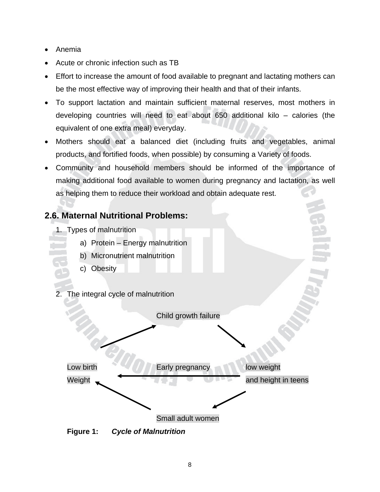- Anemia
- Acute or chronic infection such as TB
- Effort to increase the amount of food available to pregnant and lactating mothers can be the most effective way of improving their health and that of their infants.
- To support lactation and maintain sufficient maternal reserves, most mothers in developing countries will need to eat about 650 additional kilo – calories (the equivalent of one extra meal) everyday.
- Mothers should eat a balanced diet (including fruits and vegetables, animal products, and fortified foods, when possible) by consuming a Variety of foods.
- Community and household members should be informed of the importance of making additional food available to women during pregnancy and lactation, as well as helping them to reduce their workload and obtain adequate rest.

#### **2.6. Maternal Nutritional Problems:**

- 1. Types of malnutrition
	- a) Protein Energy malnutrition
	- b) Micronutrient malnutrition
	- c) Obesity
- 2. The integral cycle of malnutrition



**Figure 1:** *Cycle of Malnutrition*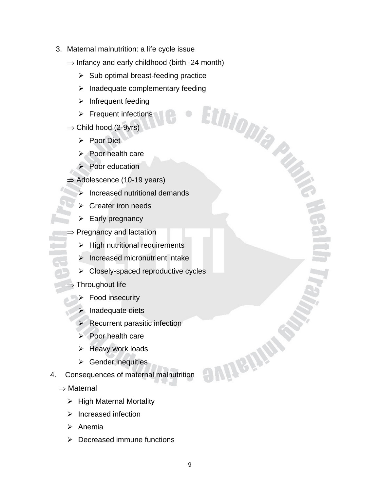- 3. Maternal malnutrition: a life cycle issue
	- $\Rightarrow$  Infancy and early childhood (birth -24 month)
		- $\triangleright$  Sub optimal breast-feeding practice
		- → Inadequate complementary feeding<br>
		→ Infrequent feeding<br>
		→ Frequent infections<br>
		→ hood (2-9yrs)
		- $\triangleright$  Infrequent feeding
		- $\triangleright$  Frequent infections
	- $\Rightarrow$  Child hood (2-9yrs)
		- ¾ Poor Diet
		- Poor health care
		- $\triangleright$  Poor education
	- $\Rightarrow$  Adolescence (10-19 years)
		- Increased nutritional demands
		- Greater iron needs
		- $\triangleright$  Early pregnancy
	- ⇒ Pregnancy and lactation
		- $\triangleright$  High nutritional requirements
		- $\blacktriangleright$  Increased micronutrient intake
		- $\triangleright$  Closely-spaced reproductive cycles
	- Throughout life
		- $\triangleright$  Food insecurity
		- $\blacktriangleright$  Inadequate diets
		- $\triangleright$  Recurrent parasitic infection
		- $\triangleright$  Poor health care
		- $\triangleright$  Heavy work loads
		- $\triangleright$  Gender inequities
- 4. Consequences of maternal malnutrition
	- ⇒ Maternal
		- $\triangleright$  High Maternal Mortality
		- $\triangleright$  Increased infection
		- ¾ Anemia
		- $\triangleright$  Decreased immune functions

**SUITSITE**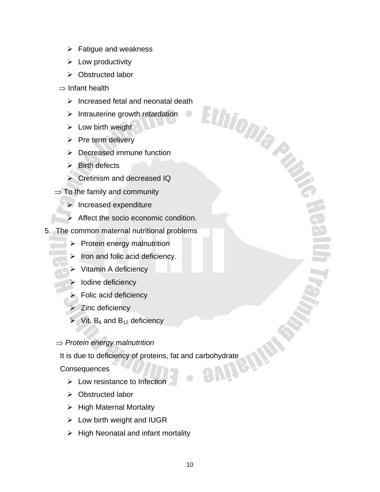- $\triangleright$  Fatigue and weakness
- $\blacktriangleright$  Low productivity
- ¾ Obstructed labor
- ⇒ Infant health
	- $\triangleright$  Increased fetal and neonatal death

Ethiopia Pub

- $\triangleright$  Intrauterine growth retardation
- $\triangleright$  Low birth weight
- $\triangleright$  Pre term delivery
- $\triangleright$  Decreased immune function
- $\triangleright$  Birth defects
- $\triangleright$  Cretinism and decreased IQ
- $\Rightarrow$  To the family and community
	- $\triangleright$  Increased expenditure
	- $\triangleright$  Affect the socio economic condition.
- 5. The common maternal nutritional problems
	- $\triangleright$  Protein energy malnutrition
	- Iron and folic acid deficiency.
	- ¾ Vitamin A deficiency
	- ¾ Iodine deficiency
	- $\blacktriangleright$  Folic acid deficiency
	- $\triangleright$  Zinc deficiency
	- $\triangleright$  Vit. B<sub>6</sub> and B<sub>12</sub> deficiency
	- ⇒ *Protein energy malnutrition*

It is due to deficiency of proteins, fat and carbohydrate<br>Consequences

**Consequences** 

- $\blacktriangleright$  Low resistance to Infection
- ¾ Obstructed labor
- $\triangleright$  High Maternal Mortality
- $\triangleright$  Low birth weight and IUGR
- $\triangleright$  High Neonatal and infant mortality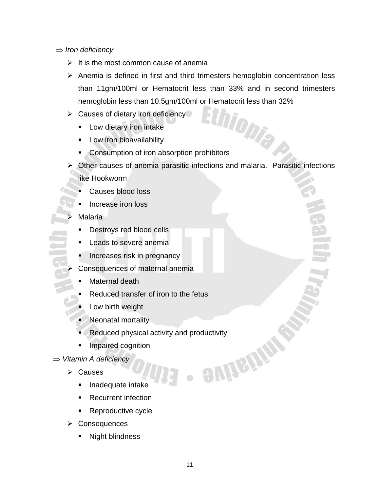- ⇒ *Iron deficiency* 
	- $\triangleright$  It is the most common cause of anemia
	- $\triangleright$  Anemia is defined in first and third trimesters hemoglobin concentration less than 11gm/100ml or Hematocrit less than 33% and in second trimesters hemoglobin less than 10.5gm/100ml or Hematocrit less than 32%<br>Causes of dietary iron deficiency<br>Alexander of the distance of the distance of the distance of the distance of the distance of the distance of the distance of t
	- $\triangleright$  Causes of dietary iron deficiency
		- **Low dietary iron intake**
		- **Low iron bioavailability**
		- **Consumption of iron absorption prohibitors**
	- $\triangleright$  Other causes of anemia parasitic infections and malaria. Parasitic infections like Hookworm
		- Causes blood loss
		- Increase iron loss
		- **Malaria**
		- Destroys red blood cells
		- Leads to severe anemia
		- Increases risk in pregnancy
		- Consequences of maternal anemia
		- Maternal death
		- Reduced transfer of iron to the fetus
		- Low birth weight
		- Neonatal mortality
		- Reduced physical activity and productivity<br>
		Impaired cognition<br>
		A deficiency<br>
		uses<br>
		Inadequate in the contract of the contract of the contract of the contract of the contract of the contract of the contract of the contract
		- **Impaired cognition**
- ⇒ *Vitamin A deficiency* 
	- $\triangleright$  Causes
		- **Inadequate intake**
		- Recurrent infection
		- **Reproductive cycle**
	- ¾ Consequences
		- Night blindness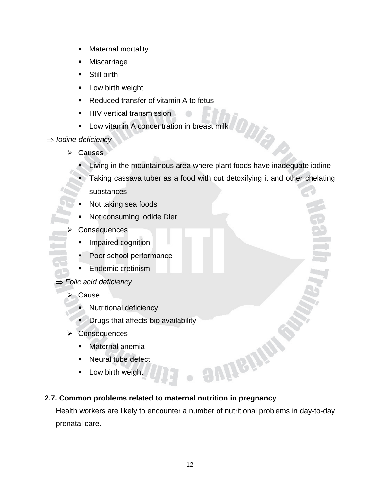- **Maternal mortality**
- **Miscarriage**
- **Still birth**
- **Low birth weight**
- Reduced transfer of vitamin A to fetus
- **HIV vertical transmission**
- **Low vitamin A concentration in breast milk**

#### ⇒ *Iodine deficiency*

- ¾ Causes
	- Living in the mountainous area where plant foods have inadequate iodine

ODIA

 $\triangle$ 

- **Taking cassava tuber as a food with out detoxifying it and other chelating** substances
- Not taking sea foods
- Not consuming Iodide Diet
- **Consequences** 
	- **Impaired cognition**
	- **Poor school performance**
	- **Endemic cretinism**
- ⇒ *Folic acid deficiency*

#### ¾ Cause

- Nutritional deficiency
- **Drugs that affects bio availability**
- ¾ Consequences
	- **Maternal anemia**
	- **Neural tube defect**
	- **Low birth weight**

#### **2.7. Common problems related to maternal nutrition in pregnancy**

Health workers are likely to encounter a number of nutritional problems in day-to-day prenatal care.

**auitains**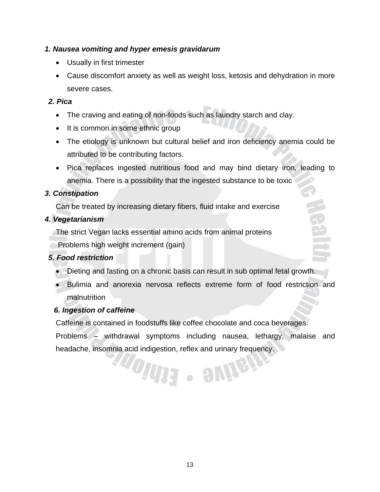#### *1. Nausea vomiting and hyper emesis gravidarum*

- Usually in first trimester
- Cause discomfort anxiety as well as weight loss, ketosis and dehydration in more severe cases.

#### *2. Pica*

- The craving and eating of non-foods such as laundry starch and clay.
- It is common in some ethnic group
- The etiology is unknown but cultural belief and iron deficiency anemia could be attributed to be contributing factors.
- Pica replaces ingested nutritious food and may bind dietary iron, leading to anemia. There is a possibility that the ingested substance to be toxic

#### *3. Constipation*

Can be treated by increasing dietary fibers, fluid intake and exercise

#### *4. Vegetarianism*

The strict Vegan lacks essential amino acids from animal proteins

Problems high weight increment (gain)

#### *5. Food restriction*

- Dieting and fasting on a chronic basis can result in sub optimal fetal growth.
- Bulimia and anorexia nervosa reflects extreme form of food restriction and malnutrition

#### *6. Ingestion of caffeine*

Caffeine is contained in foodstuffs like coffee chocolate and coca beverages.

Problems – withdrawal symptoms including nausea, lethargy, malaise and headache, insomnia acid indigestion, reflex and urinary frequency.

**TOINE - SUIGHT**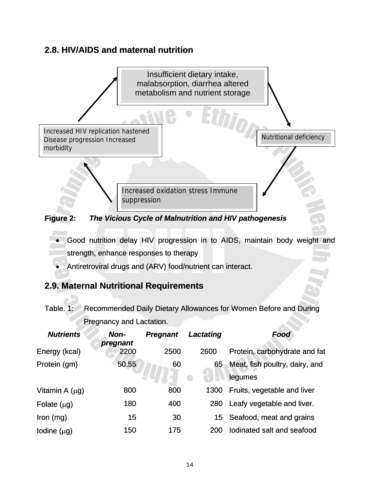#### **2.8. HIV/AIDS and maternal nutrition**



- Good nutrition delay HIV progression in to AIDS, maintain body weight and strength, enhance responses to therapy
- Antiretroviral drugs and (ARV) food/nutrient can interact.

#### **2.9. Maternal Nutritional Requirements**

وحما

|                                 |  | Table. 1: Recommended Daily Dietary Allowances for Women Before and During |
|---------------------------------|--|----------------------------------------------------------------------------|
| <b>Pregnancy and Lactation.</b> |  |                                                                            |

| <b>Nutrients</b>    | Non-<br>pregnant | <b>Pregnant</b> | Lactating | Food                           |
|---------------------|------------------|-----------------|-----------|--------------------------------|
| Energy (kcal)       | 2200             | 2500            | 2600      | Protein, carbohydrate and fat  |
| Protein (gm)        | 50.55            | 60              | 65        | Meat, fish poultry, dairy, and |
|                     |                  |                 |           | legumes                        |
| Vitamin A $(\mu g)$ | 800              | 800             | 1300      | Fruits, vegetable and liver    |
| Folate $(\mu g)$    | 180              | 400             | 280       | Leafy vegetable and liver.     |
| $lron$ (mg)         | 15               | 30              | 15        | Seafood, meat and grains       |
| lodine $(\mu g)$    | 150              | 175             | 200       | lodinated salt and seafood     |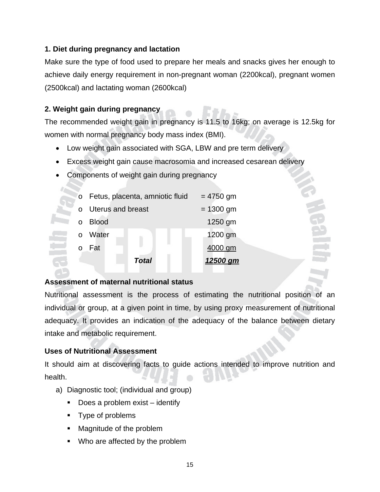#### **1. Diet during pregnancy and lactation**

Make sure the type of food used to prepare her meals and snacks gives her enough to achieve daily energy requirement in non-pregnant woman (2200kcal), pregnant women (2500kcal) and lactating woman (2600kcal)

#### **2. Weight gain during pregnancy**

The recommended weight gain in pregnancy is 11.5 to 16kg; on average is 12.5kg for women with normal pregnancy body mass index (BMI).

- Low weight gain associated with SGA, LBW and pre term delivery
- Excess weight gain cause macrosomia and increased cesarean delivery
- Components of weight gain during pregnancy

| $\circ$ | Fetus, placenta, amniotic fluid | $= 4750$ gm |
|---------|---------------------------------|-------------|
|         | <b>Uterus and breast</b>        | $= 1300$ gm |
|         | <b>Blood</b>                    | 1250 gm     |
|         | Water                           | 1200 gm     |
|         | Fat                             | 4000 gm     |
|         | Total                           | 12500       |

#### **Assessment of maternal nutritional status**

Nutritional assessment is the process of estimating the nutritional position of an individual or group, at a given point in time, by using proxy measurement of nutritional adequacy. It provides an indication of the adequacy of the balance between dietary intake and metabolic requirement.

#### **Uses of Nutritional Assessment**

It should aim at discovering facts to guide actions intended to improve nutrition and health.

- a) Diagnostic tool; (individual and group)
	- Does a problem exist identify
	- Type of problems
	- Magnitude of the problem
	- Who are affected by the problem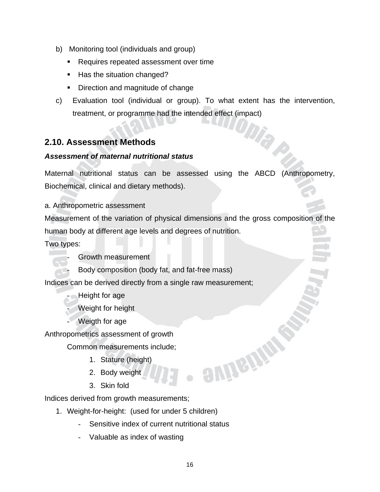- b) Monitoring tool (individuals and group)
	- Requires repeated assessment over time
	- Has the situation changed?
	- **Direction and magnitude of change**
- c) Evaluation tool (individual or group). To what extent has the intervention, treatment, or programme had the intended effect (impact)

#### **2.10. Assessment Methods**

#### *Assessment of maternal nutritional status*

Maternal nutritional status can be assessed using the ABCD (Anthropometry, Biochemical, clinical and dietary methods).

a. Anthropometric assessment

Measurement of the variation of physical dimensions and the gross composition of the human body at different age levels and degrees of nutrition.

Two types:

- Growth measurement
- Body composition (body fat, and fat-free mass)

Indices can be derived directly from a single raw measurement;

#### - Height for age

Weight for height

Weigth for age

Anthropometrics assessment of growth

Common measurements include;

- 1. Stature (height)
- 2. Body weight
- 3. Skin fold

Indices derived from growth measurements;

- 1. Weight-for-height: (used for under 5 children)
	- Sensitive index of current nutritional status
	- Valuable as index of wasting

**aunema**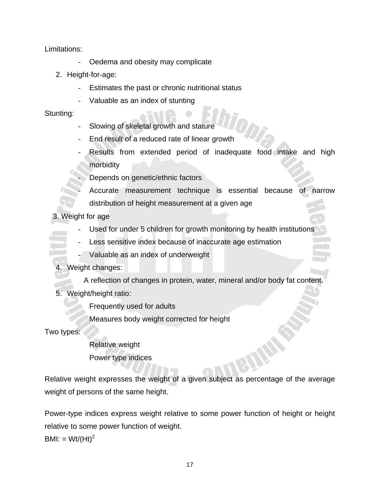Limitations:

- Oedema and obesity may complicate
- 2. Height-for-age:
	- Estimates the past or chronic nutritional status
	- Valuable as an index of stunting

Stunting:

- Slowing of skeletal growth and stature
- End result of a reduced rate of linear growth
- Results from extended period of inadequate food intake and high morbidity
	- **Depends on genetic/ethnic factors**
- Accurate measurement technique is essential because of narrow distribution of height measurement at a given age

3. Weight for age

- Used for under 5 children for growth monitoring by health institutions
- Less sensitive index because of inaccurate age estimation
	- Valuable as an index of underweight

#### 4. Weight changes:

- A reflection of changes in protein, water, mineral and/or body fat content.
- 5. Weight/height ratio:

Frequently used for adults

Measures body weight corrected for height

Two types:

Relative weight Power type indices

Relative weight expresses the weight of a given subject as percentage of the average weight of persons of the same height.

Power-type indices express weight relative to some power function of height or height relative to some power function of weight.

BMI: =  $Wt/(Ht)^2$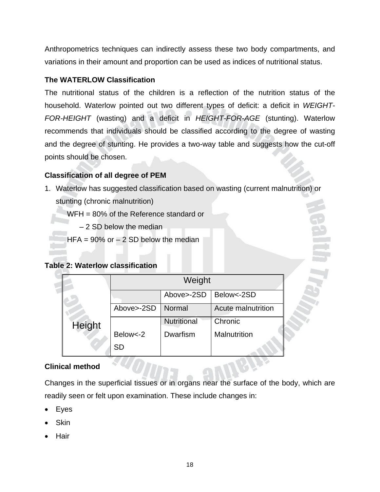Anthropometrics techniques can indirectly assess these two body compartments, and variations in their amount and proportion can be used as indices of nutritional status.

#### **The WATERLOW Classification**

The nutritional status of the children is a reflection of the nutrition status of the household. Waterlow pointed out two different types of deficit: a deficit in *WEIGHT-FOR-HEIGHT* (wasting) and a deficit in *HEIGHT-FOR-AGE* (stunting). Waterlow recommends that individuals should be classified according to the degree of wasting and the degree of stunting. He provides a two-way table and suggests how the cut-off points should be chosen.

#### **Classification of all degree of PEM**

1. Waterlow has suggested classification based on wasting (current malnutrition) or stunting (chronic malnutrition)

WFH = 80% of the Reference standard or

– 2 SD below the median

HFA =  $90\%$  or  $-2$  SD below the median

#### **Table 2: Waterlow classification**

|        | Weight     |                    |                    |  |
|--------|------------|--------------------|--------------------|--|
|        |            | Above >-2SD        | Below<-2SD         |  |
|        | Above>-2SD | Normal             | Acute malnutrition |  |
| Height |            | <b>Nutritional</b> | Chronic            |  |
|        | Below <- 2 | Dwarfism           | Malnutrition       |  |
|        | SD         |                    |                    |  |

#### **Clinical method**

Changes in the superficial tissues or in organs near the surface of the body, which are readily seen or felt upon examination. These include changes in:

- **Eyes**
- **Skin**
- **Hair**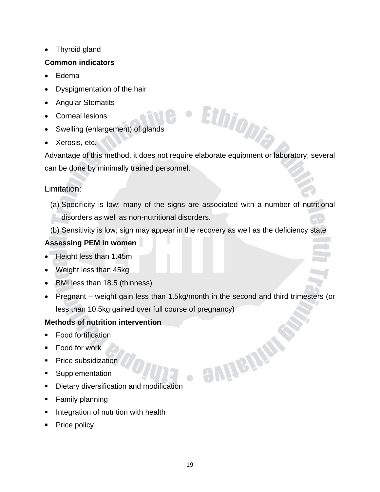• Thyroid gland

#### **Common indicators**

- Edema
- Dyspigmentation of the hair
- Angular Stomatits
- Corneal lesions
- Swelling (enlargement) of glands
- Xerosis, etc.

Advantage of this method, it does not require elaborate equipment or laboratory; several can be done by minimally trained personnel.

Ethiopia

emistik

#### Limitation:

- (a) Specificity is low; many of the signs are associated with a number of nutritional disorders as well as non-nutritional disorders.
- (b) Sensitivity is low; sign may appear in the recovery as well as the deficiency state

#### **Assessing PEM in women**

- Height less than 1.45m
- Weight less than 45kg
- BMI less than 18.5 (thinness)
- Pregnant weight gain less than 1.5kg/month in the second and third trimesters (or less than 10.5kg gained over full course of pregnancy)

#### **Methods of nutrition intervention**

- Food fortification
- **Food for work**
- Price subsidization
- **Supplementation**
- **•** Dietary diversification and modification
- **Family planning**
- Integration of nutrition with health
- Price policy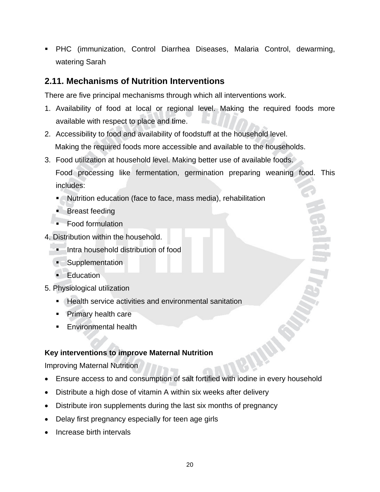PHC (immunization, Control Diarrhea Diseases, Malaria Control, dewarming, watering Sarah

#### **2.11. Mechanisms of Nutrition Interventions**

There are five principal mechanisms through which all interventions work.

- 1. Availability of food at local or regional level. Making the required foods more available with respect to place and time.
- 2. Accessibility to food and availability of foodstuff at the household level. Making the required foods more accessible and available to the households.
- 3. Food utilization at household level. Making better use of available foods.

 Food processing like fermentation, germination preparing weaning food. This includes:

- Nutrition education (face to face, mass media), rehabilitation
- **Breast feeding**
- Food formulation
- 4. Distribution within the household.
	- **I** Intra household distribution of food
	- Supplementation
	- **Education**
- 5. Physiological utilization
	- Health service activities and environmental sanitation
	- **Primary health care**
	- **Environmental health**

#### **Key interventions to improve Maternal Nutrition**

Improving Maternal Nutrition

- Ensure access to and consumption of salt fortified with iodine in every household
- Distribute a high dose of vitamin A within six weeks after delivery
- Distribute iron supplements during the last six months of pregnancy
- Delay first pregnancy especially for teen age girls
- Increase birth intervals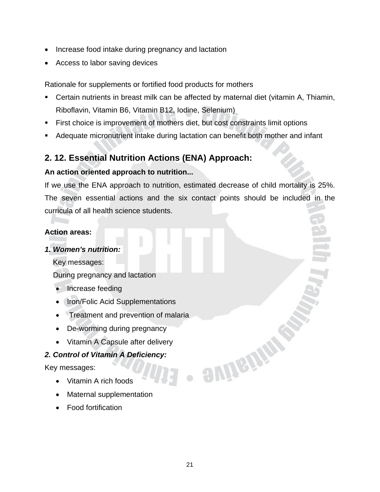- Increase food intake during pregnancy and lactation
- Access to labor saving devices

Rationale for supplements or fortified food products for mothers

- Certain nutrients in breast milk can be affected by maternal diet (vitamin A, Thiamin, Riboflavin, Vitamin B6, Vitamin B12, Iodine, Selenium)
- First choice is improvement of mothers diet, but cost constraints limit options
- Adequate micronutrient intake during lactation can benefit both mother and infant

#### **2. 12. Essential Nutrition Actions (ENA) Approach:**

#### **An action oriented approach to nutrition...**

If we use the ENA approach to nutrition, estimated decrease of child mortality is 25%. The seven essential actions and the six contact points should be included in the curricula of all health science students.

#### **Action areas:**

#### *1. Women's nutrition:*

Key messages:

During pregnancy and lactation

- Increase feeding
- Iron/Folic Acid Supplementations
- Treatment and prevention of malaria
- De-worming during pregnancy
- Vitamin A Capsule after delivery

#### *2. Control of Vitamin A Deficiency:*

Key messages:

- Vitamin A rich foods
- Maternal supplementation
- Food fortification

**SUITETTE**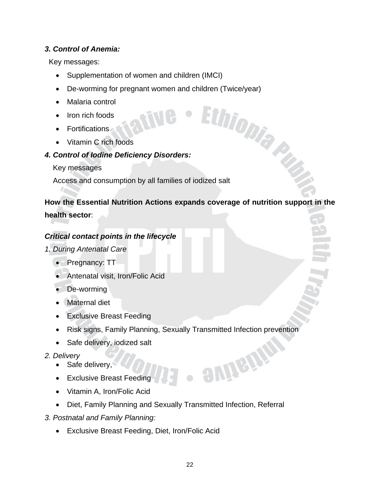#### *3. Control of Anemia:*

Key messages:

- Supplementation of women and children (IMCI)
- De-worming for pregnant women and children (Twice/year)<br>• Malaria control<br>• Iron rich foods<br>• Edded Children (Twice/year)
- Malaria control
- Iron rich foods
- Fortifications
- Vitamin C rich foods

#### *4. Control of Iodine Deficiency Disorders:*

Key messages

Access and consumption by all families of iodized salt

#### **How the Essential Nutrition Actions expands coverage of nutrition support in the**

**health sector**:

#### *Critical contact points in the lifecycle*

*1. During Antenatal Care* 

- Pregnancy: TT
- Antenatal visit, Iron/Folic Acid
- De-worming
- Maternal diet
- Exclusive Breast Feeding
- Risk signs, Family Planning, Sexually Transmitted Infection prevention
- Safe delivery, iodized salt

#### *2. Delivery*

- Safe delivery,
- Exclusive Breast Feeding
- Vitamin A, Iron/Folic Acid
- Diet, Family Planning and Sexually Transmitted Infection, Referral
- *3. Postnatal and Family Planning:* 
	- Exclusive Breast Feeding, Diet, Iron/Folic Acid

enhan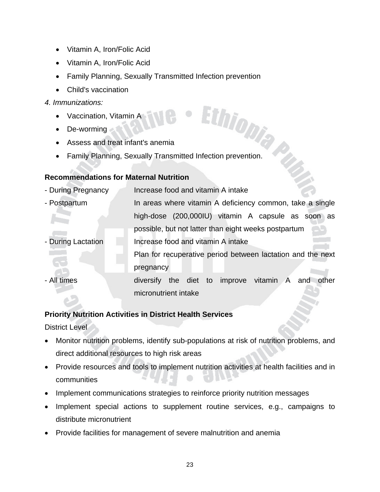- Vitamin A, Iron/Folic Acid
- Vitamin A, Iron/Folic Acid
- Family Planning, Sexually Transmitted Infection prevention
- Child's vaccination

#### *4. Immunizations:*

- Vaccination, Vitamin A
- De-worming
- Assess and treat infant's anemia
- Characterians:<br>• Vaccination, Vitamin A<br>• De-worming<br>• Assess and treat infant's anemia<br>• Family Planning, Sexually Transmitted Infection prevention.

#### **Recommendations for Maternal Nutrition**

| - During Pregnancy | Increase food and vitamin A intake                          |
|--------------------|-------------------------------------------------------------|
| - Postpartum       | In areas where vitamin A deficiency common, take a single   |
|                    | high-dose (200,000IU) vitamin A capsule as soon as          |
|                    | possible, but not latter than eight weeks postpartum        |
| - During Lactation | Increase food and vitamin A intake                          |
|                    | Plan for recuperative period between lactation and the next |
|                    | pregnancy                                                   |
| - All times        | the diet to improve vitamin A and<br>other<br>diversify     |
|                    | micronutrient intake                                        |

#### **Priority Nutrition Activities in District Health Services**

District Level

- Monitor nutrition problems, identify sub-populations at risk of nutrition problems, and direct additional resources to high risk areas
- Provide resources and tools to implement nutrition activities at health facilities and in communities
- Implement communications strategies to reinforce priority nutrition messages
- Implement special actions to supplement routine services, e.g., campaigns to distribute micronutrient
- Provide facilities for management of severe malnutrition and anemia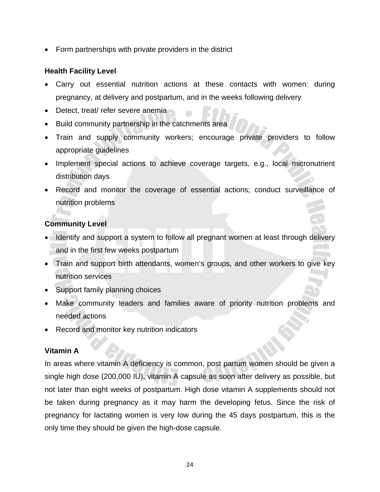• Form partnerships with private providers in the district

#### **Health Facility Level**

- Carry out essential nutrition actions at these contacts with women: during pregnancy, at delivery and postpartum, and in the weeks following delivery
- Detect, treat/ refer severe anemia
- Build community partnership in the catchments area
- Train and supply community workers; encourage private providers to follow appropriate guidelines
- Implement special actions to achieve coverage targets, e.g., local micronutrient distribution days
- Record and monitor the coverage of essential actions; conduct surveillance of nutrition problems

#### **Community Level**

- Identify and support a system to follow all pregnant women at least through delivery and in the first few weeks postpartum
- Train and support birth attendants, women's groups, and other workers to give key nutrition services
- Support family planning choices
- Make community leaders and families aware of priority nutrition problems and needed actions
- Record and monitor key nutrition indicators

#### **Vitamin A**

In areas where vitamin A deficiency is common, post partum women should be given a single high dose (200,000 IU), vitamin A capsule as soon after delivery as possible, but not later than eight weeks of postpartum. High dose vitamin A supplements should not be taken during pregnancy as it may harm the developing fetus. Since the risk of pregnancy for lactating women is very low during the 45 days postpartum, this is the only time they should be given the high-dose capsule.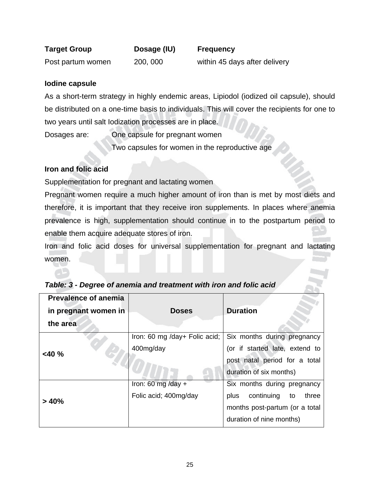| <b>Target Group</b> | Dosage (IU) | <b>Frequency</b>              |
|---------------------|-------------|-------------------------------|
| Post partum women   | 200, 000    | within 45 days after delivery |

#### **Iodine capsule**

As a short-term strategy in highly endemic areas, Lipiodol (iodized oil capsule), should be distributed on a one-time basis to individuals. This will cover the recipients for one to two years until salt Iodization processes are in place.

Dosages are: One capsule for pregnant women Two capsules for women in the reproductive age

#### **Iron and folic acid**

Supplementation for pregnant and lactating women

Pregnant women require a much higher amount of iron than is met by most diets and therefore, it is important that they receive iron supplements. In places where anemia prevalence is high, supplementation should continue in to the postpartum period to enable them acquire adequate stores of iron.

Iron and folic acid doses for universal supplementation for pregnant and lactating women.

| <b>Prevalence of anemia</b><br>in pregnant women in<br>the area | <b>Doses</b>                               | <b>Duration</b>                                                                                                                |
|-----------------------------------------------------------------|--------------------------------------------|--------------------------------------------------------------------------------------------------------------------------------|
| $<$ 40 %                                                        | Iron: 60 mg /day+ Folic acid;<br>400mg/day | Six months during pregnancy<br>(or if started late, extend to<br>post natal period for a total<br>duration of six months)      |
| >40%                                                            | Iron: 60 mg/day +<br>Folic acid; 400mg/day | Six months during pregnancy<br>continuing<br>plus<br>to<br>three<br>months post-partum (or a total<br>duration of nine months) |

|  | Table: 3 - Degree of anemia and treatment with iron and folic acid |
|--|--------------------------------------------------------------------|
|--|--------------------------------------------------------------------|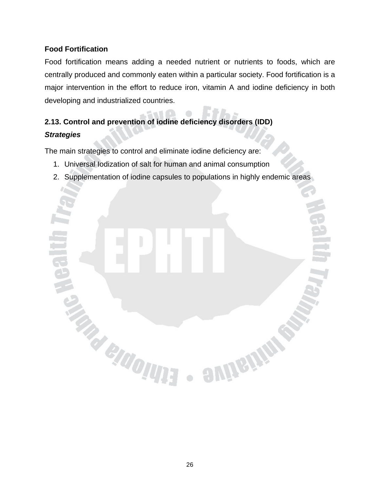#### **Food Fortification**

Food fortification means adding a needed nutrient or nutrients to foods, which are centrally produced and commonly eaten within a particular society. Food fortification is a major intervention in the effort to reduce iron, vitamin A and iodine deficiency in both developing and industrialized countries.

#### **2.13. Control and prevention of iodine deficiency disorders (IDD)**  *Strategies*

The main strategies to control and eliminate iodine deficiency are:

**TRACTIONS** 

- 1. Universal Iodization of salt for human and animal consumption
- 2. Supplementation of iodine capsules to populations in highly endemic areas

**avinging**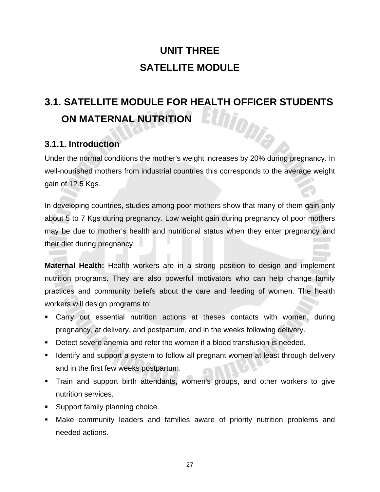# **UNIT THREE SATELLITE MODULE**

# **3.1. SATELLITE MODULE FOR HEALTH OFFICER STUDENTS<br>
ON MATERNAL NUTRITION<br>
ON MATERNAL NUTRITION ON MATERNAL NUTRITION**

#### **3.1.1. Introduction**

Under the normal conditions the mother's weight increases by 20% during pregnancy. In well-nourished mothers from industrial countries this corresponds to the average weight gain of 12.5 Kgs.

In developing countries, studies among poor mothers show that many of them gain only about 5 to 7 Kgs during pregnancy. Low weight gain during pregnancy of poor mothers may be due to mother's health and nutritional status when they enter pregnancy and their diet during pregnancy.

**Maternal Health:** Health workers are in a strong position to design and implement nutrition programs. They are also powerful motivators who can help change family practices and community beliefs about the care and feeding of women. The health workers will design programs to:

- Carry out essential nutrition actions at theses contacts with women, during pregnancy, at delivery, and postpartum, and in the weeks following delivery.
- Detect severe anemia and refer the women if a blood transfusion is needed.
- **IDED 10** Identify and support a system to follow all pregnant women at least through delivery and in the first few weeks postpartum.
- Train and support birth attendants, women's groups, and other workers to give nutrition services.
- **Support family planning choice.**
- Make community leaders and families aware of priority nutrition problems and needed actions.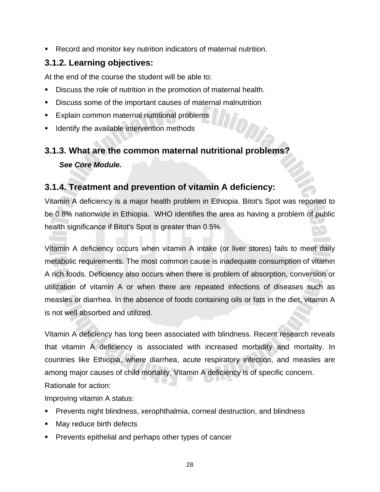Record and monitor key nutrition indicators of maternal nutrition.

#### **3.1.2. Learning objectives:**

At the end of the course the student will be able to:

- Discuss the role of nutrition in the promotion of maternal health.
- Discuss some of the important causes of maternal malnutrition
- **Explain common maternal nutritional problems**
- Identify the available intervention methods

# **3.1.3. What are the common maternal nutritional problems?**

 *See Core Module.* 

#### **3.1.4. Treatment and prevention of vitamin A deficiency:**

Vitamin A deficiency is a major health problem in Ethiopia. Bitot's Spot was reported to be 0.8% nationwide in Ethiopia. WHO identifies the area as having a problem of public health significance if Bitot's Spot is greater than 0.5%.

Vitamin A deficiency occurs when vitamin A intake (or liver stores) fails to meet daily metabolic requirements. The most common cause is inadequate consumption of vitamin A rich foods. Deficiency also occurs when there is problem of absorption, conversion or utilization of vitamin A or when there are repeated infections of diseases such as measles or diarrhea. In the absence of foods containing oils or fats in the diet, vitamin A is not well absorbed and utilized.

Vitamin A deficiency has long been associated with blindness. Recent research reveals that vitamin A deficiency is associated with increased morbidity and mortality. In countries like Ethiopia, where diarrhea, acute respiratory infection, and measles are among major causes of child mortality, Vitamin A deficiency is of specific concern.

Rationale for action:

Improving vitamin A status:

- Prevents night blindness, xerophthalmia, corneal destruction, and blindness
- May reduce birth defects
- Prevents epithelial and perhaps other types of cancer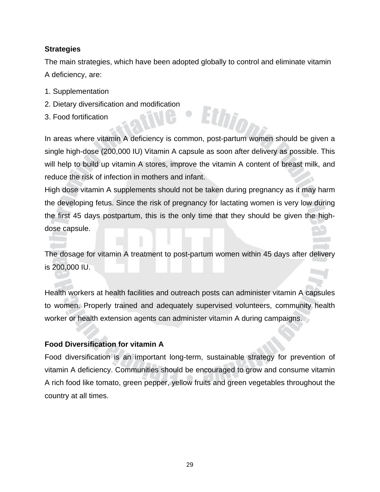#### **Strategies**

The main strategies, which have been adopted globally to control and eliminate vitamin A deficiency, are:

- 1. Supplementation
- 2. Dietary diversification and modification
- 3. Food fortification

In areas where vitamin A deficiency is common, post-partum women should be given a single high-dose (200,000 IU) Vitamin A capsule as soon after delivery as possible. This will help to build up vitamin A stores, improve the vitamin A content of breast milk, and reduce the risk of infection in mothers and infant.

Ethi

High dose vitamin A supplements should not be taken during pregnancy as it may harm the developing fetus. Since the risk of pregnancy for lactating women is very low during the first 45 days postpartum, this is the only time that they should be given the highdose capsule.

The dosage for vitamin A treatment to post-partum women within 45 days after delivery is 200,000 IU.

Health workers at health facilities and outreach posts can administer vitamin A capsules to women. Properly trained and adequately supervised volunteers, community health worker or health extension agents can administer vitamin A during campaigns.

#### **Food Diversification for vitamin A**

Food diversification is an important long-term, sustainable strategy for prevention of vitamin A deficiency. Communities should be encouraged to grow and consume vitamin A rich food like tomato, green pepper, yellow fruits and green vegetables throughout the country at all times.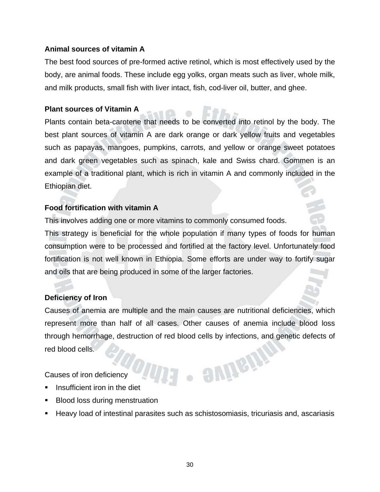#### **Animal sources of vitamin A**

The best food sources of pre-formed active retinol, which is most effectively used by the body, are animal foods. These include egg yolks, organ meats such as liver, whole milk, and milk products, small fish with liver intact, fish, cod-liver oil, butter, and ghee.

#### **Plant sources of Vitamin A**

Plants contain beta-carotene that needs to be converted into retinol by the body. The best plant sources of vitamin A are dark orange or dark yellow fruits and vegetables such as papayas, mangoes, pumpkins, carrots, and yellow or orange sweet potatoes and dark green vegetables such as spinach, kale and Swiss chard. Gommen is an example of a traditional plant, which is rich in vitamin A and commonly included in the Ethiopian diet.

#### **Food fortification with vitamin A**

This involves adding one or more vitamins to commonly consumed foods.

This strategy is beneficial for the whole population if many types of foods for human consumption were to be processed and fortified at the factory level. Unfortunately food fortification is not well known in Ethiopia. Some efforts are under way to fortify sugar and oils that are being produced in some of the larger factories.

#### **Deficiency of Iron**

Causes of anemia are multiple and the main causes are nutritional deficiencies, which represent more than half of all cases. Other causes of anemia include blood loss through hemorrhage, destruction of red blood cells by infections, and genetic defects of red blood cells. · SUIGUP

Causes of iron deficiency

- Insufficient iron in the diet
- Blood loss during menstruation
- Heavy load of intestinal parasites such as schistosomiasis, tricuriasis and, ascariasis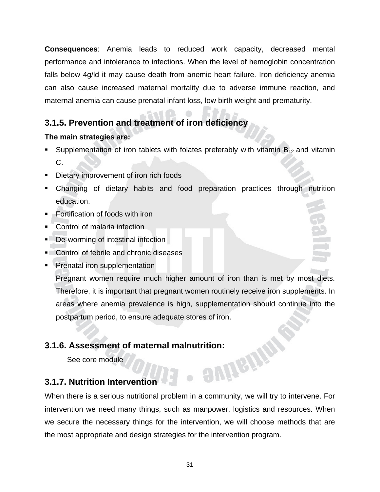**Consequences**: Anemia leads to reduced work capacity, decreased mental performance and intolerance to infections. When the level of hemoglobin concentration falls below 4g/ld it may cause death from anemic heart failure. Iron deficiency anemia can also cause increased maternal mortality due to adverse immune reaction, and maternal anemia can cause prenatal infant loss, low birth weight and prematurity.

#### **3.1.5. Prevention and treatment of iron deficiency**

#### **The main strategies are:**

- Supplementation of iron tablets with folates preferably with vitamin  $B_{12}$  and vitamin C.
- **•** Dietary improvement of iron rich foods
- Changing of dietary habits and food preparation practices through nutrition education.
- **Fortification of foods with iron**
- Control of malaria infection
- De-worming of intestinal infection
- **Control of febrile and chronic diseases**
- Prenatal iron supplementation

Pregnant women require much higher amount of iron than is met by most diets. Therefore, it is important that pregnant women routinely receive iron supplements. In areas where anemia prevalence is high, supplementation should continue into the postpartum period, to ensure adequate stores of iron.

# **3.1.6. Assessment of maternal malnutrition:**<br>See core module<br>**3.1.7. Nutrition let**

See core module

#### **3.1.7. Nutrition Intervention**

When there is a serious nutritional problem in a community, we will try to intervene. For intervention we need many things, such as manpower, logistics and resources. When we secure the necessary things for the intervention, we will choose methods that are the most appropriate and design strategies for the intervention program.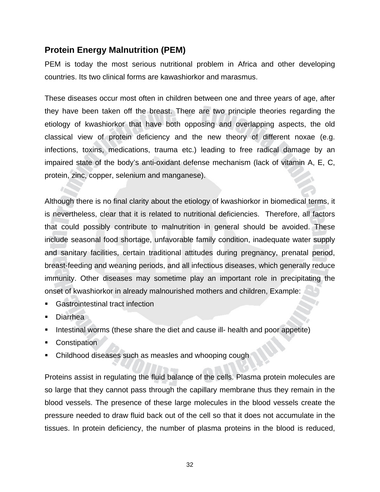#### **Protein Energy Malnutrition (PEM)**

PEM is today the most serious nutritional problem in Africa and other developing countries. Its two clinical forms are kawashiorkor and marasmus.

These diseases occur most often in children between one and three years of age, after they have been taken off the breast. There are two principle theories regarding the etiology of kwashiorkor that have both opposing and overlapping aspects, the old classical view of protein deficiency and the new theory of different noxae (e.g. infections, toxins, medications, trauma etc.) leading to free radical damage by an impaired state of the body's anti-oxidant defense mechanism (lack of vitamin A, E, C, protein, zinc, copper, selenium and manganese).

Although there is no final clarity about the etiology of kwashiorkor in biomedical terms, it is nevertheless, clear that it is related to nutritional deficiencies. Therefore, all factors that could possibly contribute to malnutrition in general should be avoided. These include seasonal food shortage, unfavorable family condition, inadequate water supply and sanitary facilities, certain traditional attitudes during pregnancy, prenatal period, breast-feeding and weaning periods, and all infectious diseases, which generally reduce immunity. Other diseases may sometime play an important role in precipitating the onset of kwashiorkor in already malnourished mothers and children, Example:

- Gastrointestinal tract infection
- Diarrhea
- Intestinal worms (these share the diet and cause ill- health and poor appetite)
- **Constipation**
- Childhood diseases such as measles and whooping cough

Proteins assist in regulating the fluid balance of the cells. Plasma protein molecules are so large that they cannot pass through the capillary membrane thus they remain in the blood vessels. The presence of these large molecules in the blood vessels create the pressure needed to draw fluid back out of the cell so that it does not accumulate in the tissues. In protein deficiency, the number of plasma proteins in the blood is reduced,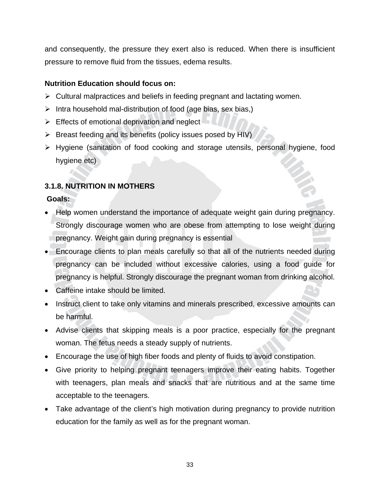and consequently, the pressure they exert also is reduced. When there is insufficient pressure to remove fluid from the tissues, edema results.

#### **Nutrition Education should focus on:**

- $\triangleright$  Cultural malpractices and beliefs in feeding pregnant and lactating women.
- $\triangleright$  Intra household mal-distribution of food (age bias, sex bias,)
- $\triangleright$  Effects of emotional deprivation and neglect
- $\triangleright$  Breast feeding and its benefits (policy issues posed by HIV)
- ¾ Hygiene (sanitation of food cooking and storage utensils, personal hygiene, food hygiene etc)

#### **3.1.8. NUTRITION IN MOTHERS**

#### **Goals:**

- Help women understand the importance of adequate weight gain during pregnancy. Strongly discourage women who are obese from attempting to lose weight during pregnancy. Weight gain during pregnancy is essential
- Encourage clients to plan meals carefully so that all of the nutrients needed during pregnancy can be included without excessive calories, using a food guide for pregnancy is helpful. Strongly discourage the pregnant woman from drinking alcohol.
- Caffeine intake should be limited.
- Instruct client to take only vitamins and minerals prescribed, excessive amounts can be harmful.
- Advise clients that skipping meals is a poor practice, especially for the pregnant woman. The fetus needs a steady supply of nutrients.
- Encourage the use of high fiber foods and plenty of fluids to avoid constipation.
- Give priority to helping pregnant teenagers improve their eating habits. Together with teenagers, plan meals and snacks that are nutritious and at the same time acceptable to the teenagers.
- Take advantage of the client's high motivation during pregnancy to provide nutrition education for the family as well as for the pregnant woman.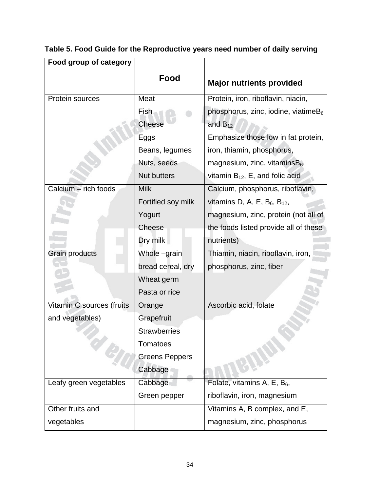| Food group of category    |                       |                                         |  |
|---------------------------|-----------------------|-----------------------------------------|--|
|                           | Food                  | <b>Major nutrients provided</b>         |  |
| Protein sources           | Meat                  | Protein, iron, riboflavin, niacin,      |  |
|                           | Fish                  | phosphorus, zinc, iodine, viatime $B_6$ |  |
|                           | <b>Cheese</b>         | and $B_{12}$                            |  |
|                           | Eggs                  | Emphasize those low in fat protein,     |  |
|                           | Beans, legumes        | iron, thiamin, phosphorus,              |  |
|                           | Nuts, seeds           | magnesium, zinc, vitamins $B_6$ ,       |  |
|                           | <b>Nut butters</b>    | vitamin $B_{12}$ , E, and folic acid    |  |
| Calcium - rich foods      | <b>Milk</b>           | Calcium, phosphorus, riboflavin,        |  |
|                           | Fortified soy milk    | vitamins D, A, E, $B_6$ , $B_{12}$ ,    |  |
|                           | Yogurt                | magnesium, zinc, protein (not all of    |  |
|                           | Cheese                | the foods listed provide all of these   |  |
|                           | Dry milk              | nutrients)                              |  |
| Grain products            | Whole -grain          | Thiamin, niacin, riboflavin, iron,      |  |
|                           | bread cereal, dry     | phosphorus, zinc, fiber                 |  |
|                           | Wheat germ            |                                         |  |
|                           | Pasta or rice         |                                         |  |
| Vitamin C sources (fruits | Orange                | Ascorbic acid, folate                   |  |
| and vegetables)           | Grapefruit            |                                         |  |
|                           | <b>Strawberries</b>   |                                         |  |
|                           | <b>Tomatoes</b>       |                                         |  |
|                           | <b>Greens Peppers</b> |                                         |  |
|                           | Cabbage               |                                         |  |
| Leafy green vegetables    | Cabbage               | Folate, vitamins A, E, $B_6$ ,          |  |
|                           | Green pepper          | riboflavin, iron, magnesium             |  |
| Other fruits and          |                       | Vitamins A, B complex, and E,           |  |
| vegetables                |                       | magnesium, zinc, phosphorus             |  |

# **Table 5. Food Guide for the Reproductive years need number of daily serving**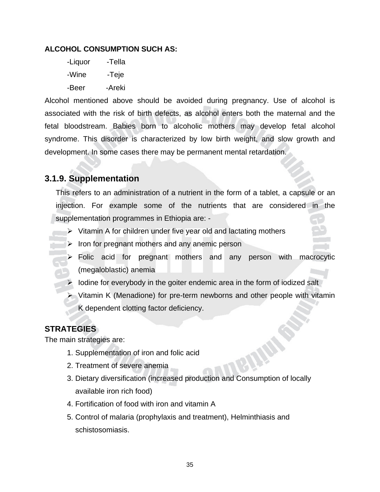#### **ALCOHOL CONSUMPTION SUCH AS:**

-Liquor -Tella -Wine -Teje -Beer -Areki

Alcohol mentioned above should be avoided during pregnancy. Use of alcohol is associated with the risk of birth defects, as alcohol enters both the maternal and the fetal bloodstream. Babies born to alcoholic mothers may develop fetal alcohol syndrome. This disorder is characterized by low birth weight, and slow growth and development. In some cases there may be permanent mental retardation.

#### **3.1.9. Supplementation**

This refers to an administration of a nutrient in the form of a tablet, a capsule or an injection. For example some of the nutrients that are considered in the supplementation programmes in Ethiopia are: -

- $\triangleright$  Vitamin A for children under five year old and lactating mothers
- $\triangleright$  Iron for pregnant mothers and any anemic person
	- $\triangleright$  Folic acid for pregnant mothers and any person with macrocytic (megaloblastic) anemia
- $\triangleright$  lodine for everybody in the goiter endemic area in the form of iodized salt
- ¾ Vitamin K (Menadione) for pre-term newborns and other people with vitamin K dependent clotting factor deficiency.

#### **STRATEGIES**

The main strategies are:

- 1. Supplementation of iron and folic acid
- 2. Treatment of severe anemia
- 3. Dietary diversification (increased production and Consumption of locally available iron rich food)
- 4. Fortification of food with iron and vitamin A
- 5. Control of malaria (prophylaxis and treatment), Helminthiasis and schistosomiasis.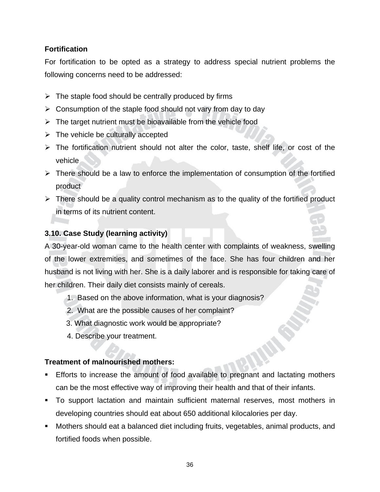#### **Fortification**

For fortification to be opted as a strategy to address special nutrient problems the following concerns need to be addressed:

- $\triangleright$  The staple food should be centrally produced by firms
- $\triangleright$  Consumption of the staple food should not vary from day to day
- $\triangleright$  The target nutrient must be bioavailable from the vehicle food
- $\triangleright$  The vehicle be culturally accepted
- $\triangleright$  The fortification nutrient should not alter the color, taste, shelf life, or cost of the vehicle
- $\triangleright$  There should be a law to enforce the implementation of consumption of the fortified product
- $\triangleright$  There should be a quality control mechanism as to the quality of the fortified product in terms of its nutrient content.

#### **3.10. Case Study (learning activity)**

A 30-year-old woman came to the health center with complaints of weakness, swelling of the lower extremities, and sometimes of the face. She has four children and her husband is not living with her. She is a daily laborer and is responsible for taking care of her children. Their daily diet consists mainly of cereals.

- 1. Based on the above information, what is your diagnosis?
- 2. What are the possible causes of her complaint?
- 3. What diagnostic work would be appropriate?
- 4. Describe your treatment.

#### **Treatment of malnourished mothers:**

- Efforts to increase the amount of food available to pregnant and lactating mothers can be the most effective way of improving their health and that of their infants.
- To support lactation and maintain sufficient maternal reserves, most mothers in developing countries should eat about 650 additional kilocalories per day.
- Mothers should eat a balanced diet including fruits, vegetables, animal products, and fortified foods when possible.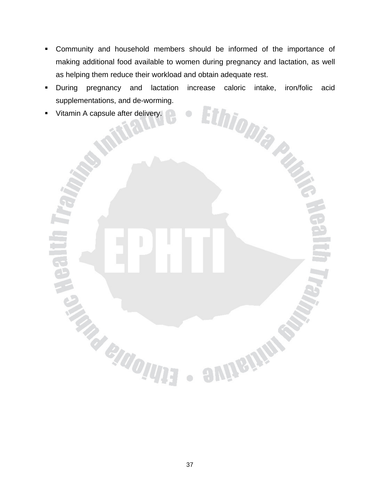- Community and household members should be informed of the importance of making additional food available to women during pregnancy and lactation, as well as helping them reduce their workload and obtain adequate rest.
- During pregnancy and lactation increase caloric intake, iron/folic acid<br>supplementations, and de-worming.<br>Vitamin A capsule after delivery. supplementations, and de-worming.
- **Vitamin A capsule after delivery.**

**TRACTIONS** 

 $\bullet$ 

emistics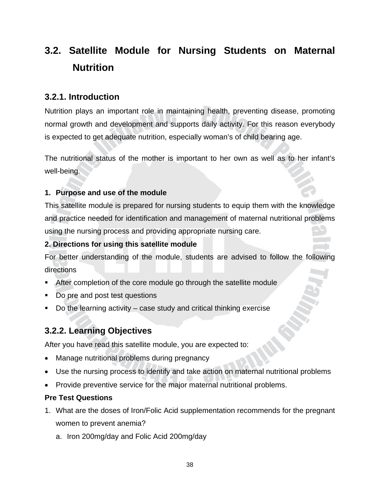# **3.2. Satellite Module for Nursing Students on Maternal Nutrition**

#### **3.2.1. Introduction**

Nutrition plays an important role in maintaining health, preventing disease, promoting normal growth and development and supports daily activity. For this reason everybody is expected to get adequate nutrition, especially woman's of child bearing age.

The nutritional status of the mother is important to her own as well as to her infant's well-being.

#### **1. Purpose and use of the module**

This satellite module is prepared for nursing students to equip them with the knowledge and practice needed for identification and management of maternal nutritional problems using the nursing process and providing appropriate nursing care.

#### **2. Directions for using this satellite module**

For better understanding of the module, students are advised to follow the following directions

- After completion of the core module go through the satellite module
- Do pre and post test questions
- Do the learning activity case study and critical thinking exercise

#### **3.2.2. Learning Objectives**

After you have read this satellite module, you are expected to:

- Manage nutritional problems during pregnancy
- Use the nursing process to identify and take action on maternal nutritional problems
- Provide preventive service for the major maternal nutritional problems.

#### **Pre Test Questions**

- 1. What are the doses of Iron/Folic Acid supplementation recommends for the pregnant women to prevent anemia?
	- a. Iron 200mg/day and Folic Acid 200mg/day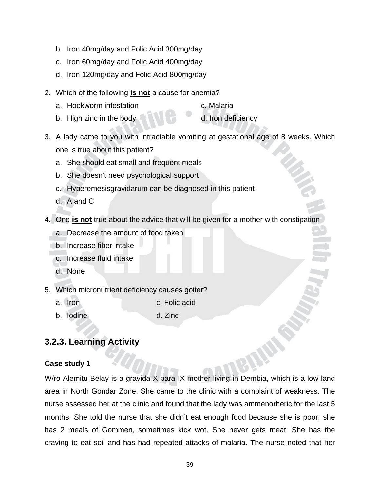- b. Iron 40mg/day and Folic Acid 300mg/day
- c. Iron 60mg/day and Folic Acid 400mg/day
- d. Iron 120mg/day and Folic Acid 800mg/day
- 2. Which of the following **is not** a cause for anemia?
	- a. Hookworm infestation and the c. Malaria
	- b. High zinc in the body d. Iron deficiency
- 3. A lady came to you with intractable vomiting at gestational age of 8 weeks. Which one is true about this patient?
	- a. She should eat small and frequent meals
	- b. She doesn't need psychological support
	- c. Hyperemesisgravidarum can be diagnosed in this patient
	- d. A and C
- 4. One **is not** true about the advice that will be given for a mother with constipation
	- a. Decrease the amount of food taken
	- b. Increase fiber intake
	- c. Increase fluid intake
	- d. None
- 5. Which micronutrient deficiency causes goiter?
	- a. Iron c. Folic acid
	- b. Iodine d. Zinc
- 

#### **3.2.3. Learning Activity**

#### **Case study 1**

W/ro Alemitu Belay is a gravida X para IX mother living in Dembia, which is a low land area in North Gondar Zone. She came to the clinic with a complaint of weakness. The nurse assessed her at the clinic and found that the lady was ammenorheric for the last 5 months. She told the nurse that she didn't eat enough food because she is poor; she has 2 meals of Gommen, sometimes kick wot. She never gets meat. She has the craving to eat soil and has had repeated attacks of malaria. The nurse noted that her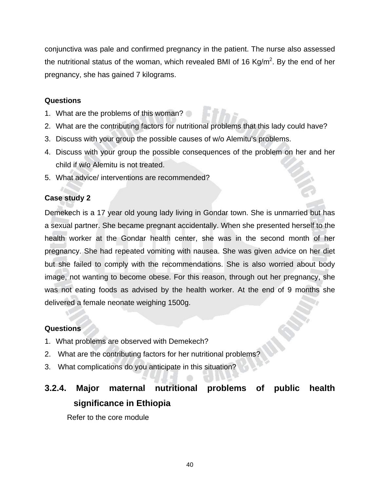conjunctiva was pale and confirmed pregnancy in the patient. The nurse also assessed the nutritional status of the woman, which revealed BMI of 16 Kg/m<sup>2</sup>. By the end of her pregnancy, she has gained 7 kilograms.

#### **Questions**

- 1. What are the problems of this woman?
- 2. What are the contributing factors for nutritional problems that this lady could have?
- 3. Discuss with your group the possible causes of w/o Alemitu's problems.
- 4. Discuss with your group the possible consequences of the problem on her and her child if w/o Alemitu is not treated.
- 5. What advice/ interventions are recommended?

#### **Case study 2**

Demekech is a 17 year old young lady living in Gondar town. She is unmarried but has a sexual partner. She became pregnant accidentally. When she presented herself to the health worker at the Gondar health center, she was in the second month of her pregnancy. She had repeated vomiting with nausea. She was given advice on her diet but she failed to comply with the recommendations. She is also worried about body image, not wanting to become obese. For this reason, through out her pregnancy, she was not eating foods as advised by the health worker. At the end of 9 months she delivered a female neonate weighing 1500g.

#### **Questions**

- 1. What problems are observed with Demekech?
- 2. What are the contributing factors for her nutritional problems?
- 3. What complications do you anticipate in this situation?

# **3.2.4. Major maternal nutritional problems of public health significance in Ethiopia**

Refer to the core module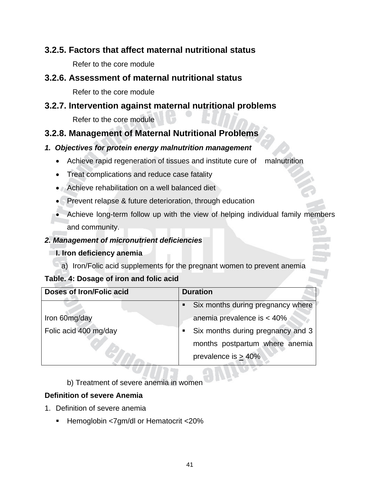#### **3.2.5. Factors that affect maternal nutritional status**

Refer to the core module

#### **3.2.6. Assessment of maternal nutritional status**

Refer to the core module

#### **3.2.7. Intervention against maternal nutritional problems**

Refer to the core module

#### **3.2.8. Management of Maternal Nutritional Problems**

#### *1. Objectives for protein energy malnutrition management*

- Achieve rapid regeneration of tissues and institute cure of malnutrition
- Treat complications and reduce case fatality
- Achieve rehabilitation on a well balanced diet
- Prevent relapse & future deterioration, through education
- Achieve long-term follow up with the view of helping individual family members and community.

#### *2. Management of micronutrient deficiencies*

#### **I. Iron deficiency anemia**

a) Iron/Folic acid supplements for the pregnant women to prevent anemia

#### **Table. 4: Dosage of iron and folic acid**

| Doses of Iron/Folic acid | <b>Duration</b>                        |  |
|--------------------------|----------------------------------------|--|
|                          | • Six months during pregnancy where    |  |
| Iron 60mg/day            | anemia prevalence is $< 40\%$          |  |
| Folic acid 400 mg/day    | Six months during pregnancy and 3<br>٠ |  |
|                          | months postpartum where anemia         |  |
|                          | prevalence is $> 40\%$                 |  |

b) Treatment of severe anemia in women

#### **Definition of severe Anemia**

- 1. Definition of severe anemia
	- Hemoglobin <7gm/dl or Hematocrit <20%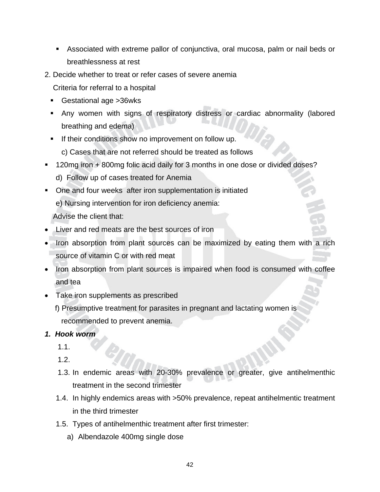- Associated with extreme pallor of conjunctiva, oral mucosa, palm or nail beds or breathlessness at rest
- 2. Decide whether to treat or refer cases of severe anemia

Criteria for referral to a hospital

- Gestational age >36wks
- Any women with signs of respiratory distress or cardiac abnormality (labored breathing and edema)
- **If their conditions show no improvement on follow up.** 
	- c) Cases that are not referred should be treated as follows
- 120mg iron + 800mg folic acid daily for 3 months in one dose or divided doses?
	- d) Follow up of cases treated for Anemia
- One and four weeks after iron supplementation is initiated

e) Nursing intervention for iron deficiency anemia:

Advise the client that:

- Liver and red meats are the best sources of iron
- Iron absorption from plant sources can be maximized by eating them with a rich source of vitamin C or with red meat
- Iron absorption from plant sources is impaired when food is consumed with coffee and tea
- Take iron supplements as prescribed
	- f) Presumptive treatment for parasites in pregnant and lactating women is recommended to prevent anemia.
- *1. Hook worm* 
	- 1.1.
	- 1.2.
	- 1.3. In endemic areas with 20-30% prevalence or greater, give antihelmenthic treatment in the second trimester
	- 1.4. In highly endemics areas with >50% prevalence, repeat antihelmentic treatment in the third trimester
	- 1.5. Types of antihelmenthic treatment after first trimester:
		- a) Albendazole 400mg single dose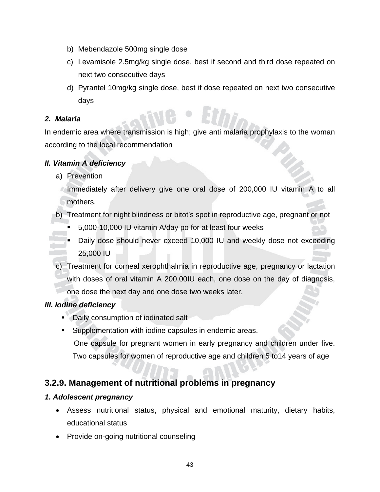- b) Mebendazole 500mg single dose
- c) Levamisole 2.5mg/kg single dose, best if second and third dose repeated on next two consecutive days
- d) Pyrantel 10mg/kg single dose, best if dose repeated on next two consecutive days

#### *2. Malaria*

In endemic area where transmission is high; give anti malaria prophylaxis to the woman according to the local recommendation

#### *II. Vitamin A deficiency*

- a) Prevention
	- Immediately after delivery give one oral dose of 200,000 IU vitamin A to all mothers.
- b) Treatment for night blindness or bitot's spot in reproductive age, pregnant or not
	- 5,000-10,000 IU vitamin A/day po for at least four weeks
	- Daily dose should never exceed 10,000 IU and weekly dose not exceeding 25,000 IU
- c) Treatment for corneal xerophthalmia in reproductive age, pregnancy or lactation with doses of oral vitamin A 200,00IU each, one dose on the day of diagnosis, one dose the next day and one dose two weeks later.

#### *III. Iodine deficiency*

- Daily consumption of iodinated salt
- Supplementation with iodine capsules in endemic areas. One capsule for pregnant women in early pregnancy and children under five. Two capsules for women of reproductive age and children 5 to14 years of age

#### **3.2.9. Management of nutritional problems in pregnancy**

#### *1. Adolescent pregnancy*

- Assess nutritional status, physical and emotional maturity, dietary habits, educational status
- Provide on-going nutritional counseling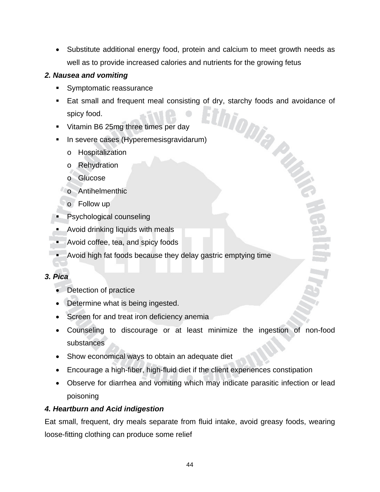• Substitute additional energy food, protein and calcium to meet growth needs as well as to provide increased calories and nutrients for the growing fetus

#### *2. Nausea and vomiting*

- Symptomatic reassurance
- Eat small and frequent meal consisting of dry, starchy foods and avoidance of spicy food.
- Vitamin B6 25mg three times per day
- In severe cases (Hyperemesisgravidarum)
	- o Hospitalization
	- o Rehydration
	- o Glucose
	- **Co** Antihelmenthic
		- o Follow up
- **Psychological counseling**
- **Avoid drinking liquids with meals**
- **Avoid coffee, tea, and spicy foods**
- Avoid high fat foods because they delay gastric emptying time

#### *3. Pica*

- Detection of practice
- Determine what is being ingested.
- Screen for and treat iron deficiency anemia
- Counseling to discourage or at least minimize the ingestion of non-food substances
- Show economical ways to obtain an adequate diet
- Encourage a high-fiber, high-fluid diet if the client experiences constipation
- Observe for diarrhea and vomiting which may indicate parasitic infection or lead poisoning

#### *4. Heartburn and Acid indigestion*

Eat small, frequent, dry meals separate from fluid intake, avoid greasy foods, wearing loose-fitting clothing can produce some relief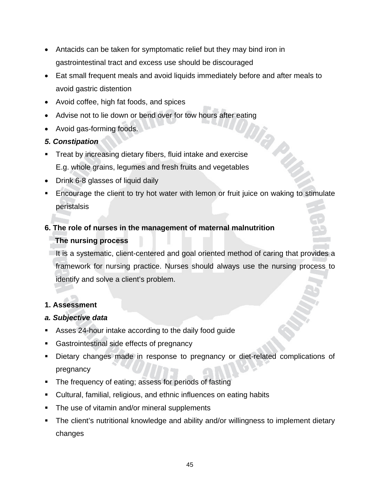- Antacids can be taken for symptomatic relief but they may bind iron in gastrointestinal tract and excess use should be discouraged
- Eat small frequent meals and avoid liquids immediately before and after meals to avoid gastric distention
- Avoid coffee, high fat foods, and spices
- Advise not to lie down or bend over for tow hours after eating
- Avoid gas-forming foods.

#### *5. Constipation*

- **Treat by increasing dietary fibers, fluid intake and exercise** E.g. whole grains, legumes and fresh fruits and vegetables
- Drink 6-8 glasses of liquid daily
- Encourage the client to try hot water with lemon or fruit juice on waking to stimulate peristalsis

## **6. The role of nurses in the management of maternal malnutrition The nursing process**

It is a systematic, client-centered and goal oriented method of caring that provides a framework for nursing practice. Nurses should always use the nursing process to identify and solve a client's problem.

#### **1. Assessment**

#### *a. Subjective data*

- Asses 24-hour intake according to the daily food guide
- Gastrointestinal side effects of pregnancy
- Dietary changes made in response to pregnancy or diet-related complications of pregnancy
- **The frequency of eating; assess for periods of fasting**
- Cultural, familial, religious, and ethnic influences on eating habits
- **The use of vitamin and/or mineral supplements**
- The client's nutritional knowledge and ability and/or willingness to implement dietary changes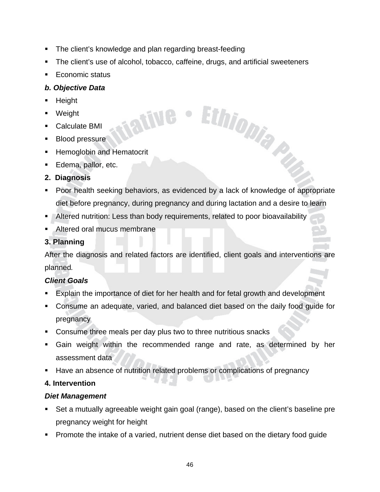The client's knowledge and plan regarding breast-feeding

**ATTLE** 

- The client's use of alcohol, tobacco, caffeine, drugs, and artificial sweeteners
- Economic status

#### *b. Objective Data*

- Height
- Weight
- Calculate BMI
- **Blood pressure**
- **Hemoglobin and Hematocrit**
- **Edema, pallor, etc.**
- **2. Diagnosis**
- Poor health seeking behaviors, as evidenced by a lack of knowledge of appropriate diet before pregnancy, during pregnancy and during lactation and a desire to learn

Ethiopia Py

- Altered nutrition: Less than body requirements, related to poor bioavailability
- Altered oral mucus membrane

#### **3. Planning**

After the diagnosis and related factors are identified, client goals and interventions are planned*.* 

#### *Client Goals*

- Explain the importance of diet for her health and for fetal growth and development
- Consume an adequate, varied, and balanced diet based on the daily food guide for pregnancy
- Consume three meals per day plus two to three nutritious snacks
- Gain weight within the recommended range and rate, as determined by her assessment data
- Have an absence of nutrition related problems or complications of pregnancy

#### **4. Intervention**

#### *Diet Management*

- Set a mutually agreeable weight gain goal (range), based on the client's baseline pre pregnancy weight for height
- Promote the intake of a varied, nutrient dense diet based on the dietary food guide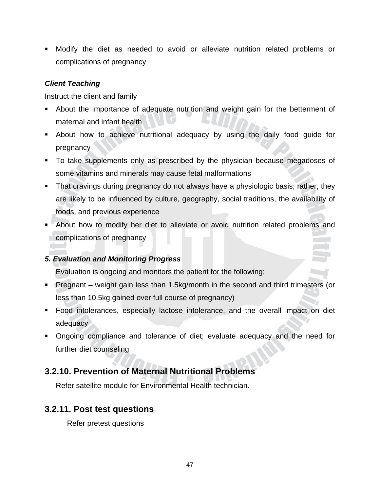Modify the diet as needed to avoid or alleviate nutrition related problems or complications of pregnancy

#### *Client Teaching*

Instruct the client and family

- About the importance of adequate nutrition and weight gain for the betterment of maternal and infant health
- About how to achieve nutritional adequacy by using the daily food guide for pregnancy
- To take supplements only as prescribed by the physician because megadoses of some vitamins and minerals may cause fetal malformations
- **That cravings during pregnancy do not always have a physiologic basis; rather, they** are likely to be influenced by culture, geography, social traditions, the availability of foods, and previous experience
- About how to modify her diet to alleviate or avoid nutrition related problems and complications of pregnancy

#### *5. Evaluation and Monitoring Progress*

Evaluation is ongoing and monitors the patient for the following;

- Pregnant weight gain less than 1.5kg/month in the second and third trimesters (or less than 10.5kg gained over full course of pregnancy)
- Food intolerances, especially lactose intolerance, and the overall impact on diet adequacy
- Ongoing compliance and tolerance of diet; evaluate adequacy and the need for further diet counseling

#### **3.2.10. Prevention of Maternal Nutritional Problems**

Refer satellite module for Environmental Health technician.

#### **3.2.11. Post test questions**

Refer pretest questions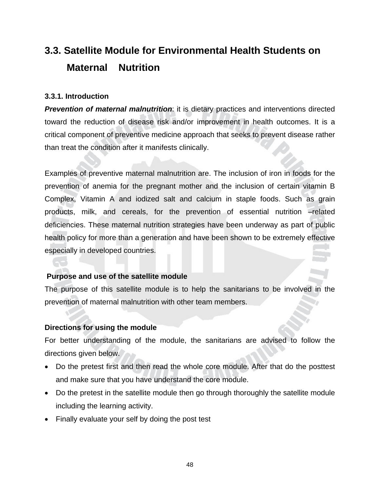# **3.3. Satellite Module for Environmental Health Students on Maternal Nutrition**

#### **3.3.1. Introduction**

*Prevention of maternal malnutrition*: it is dietary practices and interventions directed toward the reduction of disease risk and/or improvement in health outcomes. It is a critical component of preventive medicine approach that seeks to prevent disease rather than treat the condition after it manifests clinically.

Examples of preventive maternal malnutrition are. The inclusion of iron in foods for the prevention of anemia for the pregnant mother and the inclusion of certain vitamin B Complex, Vitamin A and iodized salt and calcium in staple foods. Such as grain products, milk, and cereals, for the prevention of essential nutrition –related deficiencies. These maternal nutrition strategies have been underway as part of public health policy for more than a generation and have been shown to be extremely effective especially in developed countries.

#### **Purpose and use of the satellite module**

The purpose of this satellite module is to help the sanitarians to be involved in the prevention of maternal malnutrition with other team members.

#### **Directions for using the module**

For better understanding of the module, the sanitarians are advised to follow the directions given below.

- Do the pretest first and then read the whole core module. After that do the posttest and make sure that you have understand the core module.
- Do the pretest in the satellite module then go through thoroughly the satellite module including the learning activity.
- Finally evaluate your self by doing the post test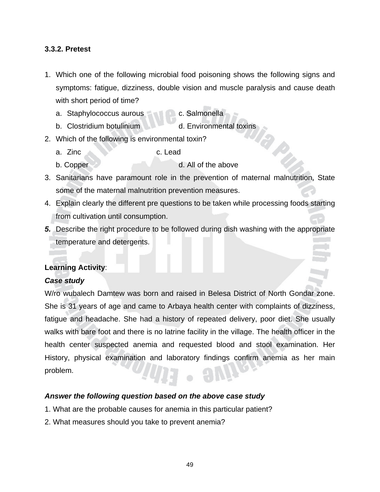#### **3.3.2. Pretest**

- 1. Which one of the following microbial food poisoning shows the following signs and symptoms: fatigue, dizziness, double vision and muscle paralysis and cause death with short period of time?
	- a. Staphylococcus aurous compared c. Salmonella
	- b. Clostridium botulinium d. Environmental toxins
- 2. Which of the following is environmental toxin?
	- a. Zinc c. Lead
	- b. Copper
- 3. Sanitarians have paramount role in the prevention of maternal malnutrition, State some of the maternal malnutrition prevention measures.
- 4. Explain clearly the different pre questions to be taken while processing foods starting from cultivation until consumption.
- *5.* Describe the right procedure to be followed during dish washing with the appropriate temperature and detergents.

#### **Learning Activity**:

#### *Case study*

W/ro wubalech Damtew was born and raised in Belesa District of North Gondar zone. She is 31 years of age and came to Arbaya health center with complaints of dizziness, fatigue and headache. She had a history of repeated delivery, poor diet. She usually walks with bare foot and there is no latrine facility in the village. The health officer in the health center suspected anemia and requested blood and stool examination. Her History, physical examination and laboratory findings confirm anemia as her main problem.

#### *Answer the following question based on the above case study*

- 1. What are the probable causes for anemia in this particular patient?
- 2. What measures should you take to prevent anemia?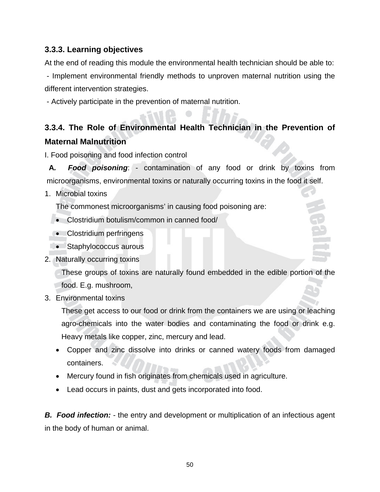#### **3.3.3. Learning objectives**

At the end of reading this module the environmental health technician should be able to:

 - Implement environmental friendly methods to unproven maternal nutrition using the different intervention strategies.

- Actively participate in the prevention of maternal nutrition.

### **3.3.4. The Role of Environmental Health Technician in the Prevention of Maternal Malnutrition**

I. Food poisoning and food infection control

**A***. Food poisoning*: - contamination of any food or drink by toxins from microorganisms, environmental toxins or naturally occurring toxins in the food it self.

1. Microbial toxins

The commonest microorganisms' in causing food poisoning are:

- Clostridium botulism/common in canned food/
- Clostridium perfringens
- Staphylococcus aurous
- 2. Naturally occurring toxins

These groups of toxins are naturally found embedded in the edible portion of the food. E.g. mushroom,

3. Environmental toxins

These get access to our food or drink from the containers we are using or leaching agro-chemicals into the water bodies and contaminating the food or drink e.g. Heavy metals like copper, zinc, mercury and lead.

- Copper and zinc dissolve into drinks or canned watery foods from damaged containers.
- Mercury found in fish originates from chemicals used in agriculture.
- Lead occurs in paints, dust and gets incorporated into food.

**B.** Food infection: - the entry and development or multiplication of an infectious agent in the body of human or animal.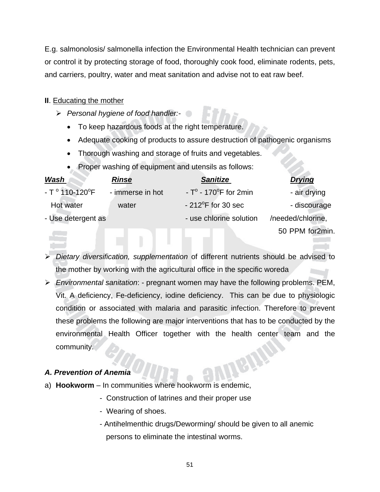E.g. salmonolosis/ salmonella infection the Environmental Health technician can prevent or control it by protecting storage of food, thoroughly cook food, eliminate rodents, pets, and carriers, poultry, water and meat sanitation and advise not to eat raw beef.

#### **II**. Educating the mother

- ¾ *Personal hygiene of food handler:-* 
	- To keep hazardous foods at the right temperature.
	- Adequate cooking of products to assure destruction of pathogenic organisms
	- Thorough washing and storage of fruits and vegetables.
	- Proper washing of equipment and utensils as follows:

| <u>Wash</u>                         | <b>Rinse</b>     | <b>Sanitize</b>                           | <b>Drying</b>     |
|-------------------------------------|------------------|-------------------------------------------|-------------------|
| - T $^{\circ}$ 110-120 $^{\circ}$ F | - immerse in hot | - $T^{\circ}$ - 170 $^{\circ}$ F for 2min | - air drying      |
| Hot water                           | water            | $-212^{\circ}$ F for 30 sec               | - discourage      |
| - Use detergent as                  |                  | - use chlorine solution                   | /needed/chlorine, |
|                                     |                  |                                           | 50 PPM for2min.   |

- ¾ *Dietary diversification, supplementation* of different nutrients should be advised to the mother by working with the agricultural office in the specific woreda
- ¾ *Environmental sanitation*: pregnant women may have the following problems. PEM, Vit. A deficiency, Fe-deficiency, iodine deficiency. This can be due to physiologic condition or associated with malaria and parasitic infection. Therefore to prevent these problems the following are major interventions that has to be conducted by the environmental Health Officer together with the health center team and the community.

#### *A. Prevention of Anemia*

- a) **Hookworm** In communities where hookworm is endemic,
	- Construction of latrines and their proper use
	- Wearing of shoes.
	- Antihelmenthic drugs/Deworming/ should be given to all anemic persons to eliminate the intestinal worms.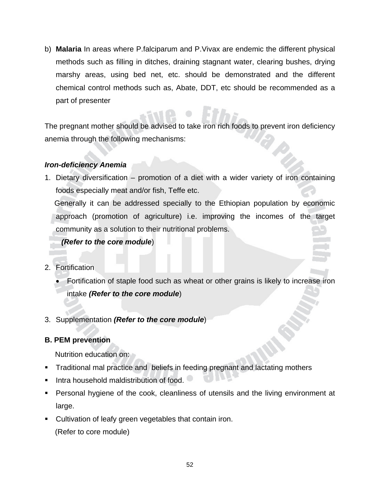b) **Malaria** In areas where P.falciparum and P.Vivax are endemic the different physical methods such as filling in ditches, draining stagnant water, clearing bushes, drying marshy areas, using bed net, etc. should be demonstrated and the different chemical control methods such as, Abate, DDT, etc should be recommended as a part of presenter

The pregnant mother should be advised to take iron rich foods to prevent iron deficiency anemia through the following mechanisms:

#### *Iron-deficiency Anemia*

1. Dietary diversification – promotion of a diet with a wider variety of iron containing foods especially meat and/or fish, Teffe etc.

 Generally it can be addressed specially to the Ethiopian population by economic approach (promotion of agriculture) i.e. improving the incomes of the target community as a solution to their nutritional problems.

#### *(Refer to the core module*)

- 2. Fortification
	- Fortification of staple food such as wheat or other grains is likely to increase iron intake *(Refer to the core module*)
- 3. Supplementation *(Refer to the core module*)

#### **B. PEM prevention**

Nutrition education on:

- Traditional mal practice and beliefs in feeding pregnant and lactating mothers
- $\blacksquare$  Intra household maldistribution of food.
- Personal hygiene of the cook, cleanliness of utensils and the living environment at large.
- **Cultivation of leafy green vegetables that contain iron.** (Refer to core module)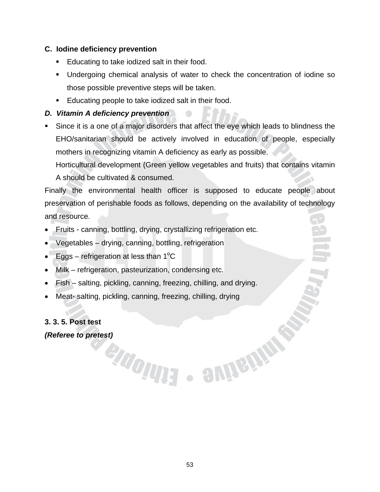#### **C. Iodine deficiency prevention**

- **Educating to take iodized salt in their food.**
- Undergoing chemical analysis of water to check the concentration of iodine so those possible preventive steps will be taken.
- **Educating people to take iodized salt in their food.**

#### *D. Vitamin A deficiency prevention*

 Since it is a one of a major disorders that affect the eye which leads to blindness the EHO/sanitarian should be actively involved in education of people, especially mothers in recognizing vitamin A deficiency as early as possible.

Horticultural development (Green yellow vegetables and fruits) that contains vitamin A should be cultivated & consumed.

Finally the environmental health officer is supposed to educate people about preservation of perishable foods as follows, depending on the availability of technology and resource.

- Fruits canning, bottling, drying, crystallizing refrigeration etc.
- Vegetables drying, canning, bottling, refrigeration
- Eggs refrigeration at less than  $1^{\circ}$ C
- Milk refrigeration, pasteurization, condensing etc.
- Fish salting, pickling, canning, freezing, chilling, and drying.
- Meat- salting, pickling, canning, freezing, chilling, drying

enouna

#### **3. 3. 5. Post test**

*(Referee to pretest)* 

- SUIGINE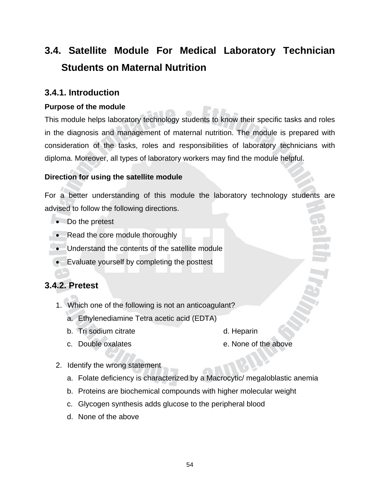# **3.4. Satellite Module For Medical Laboratory Technician Students on Maternal Nutrition**

#### **3.4.1. Introduction**

#### **Purpose of the module**

This module helps laboratory technology students to know their specific tasks and roles in the diagnosis and management of maternal nutrition. The module is prepared with consideration of the tasks, roles and responsibilities of laboratory technicians with diploma. Moreover, all types of laboratory workers may find the module helpful.

#### **Direction for using the satellite module**

For a better understanding of this module the laboratory technology students are advised to follow the following directions.

- Do the pretest
- Read the core module thoroughly
- Understand the contents of the satellite module
- Evaluate yourself by completing the posttest

#### **3.4.2. Pretest**

- 1. Which one of the following is not an anticoagulant?
	- a. Ethylenediamine Tetra acetic acid (EDTA)
	- b. Tri sodium citrate d. Heparin
	- c. Double oxalates e. None of the above
- 2. Identify the wrong statement
	- a. Folate deficiency is characterized by a Macrocytic/ megaloblastic anemia
	- b. Proteins are biochemical compounds with higher molecular weight
	- c. Glycogen synthesis adds glucose to the peripheral blood
	- d. None of the above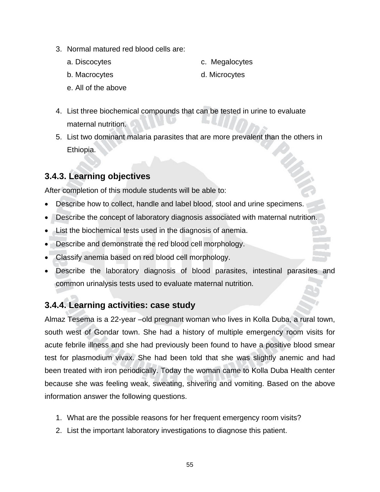- 3. Normal matured red blood cells are:
	- a. Discocytes c. Megalocytes

- b. Macrocytes d. Microcytes
- e. All of the above
- 
- 4. List three biochemical compounds that can be tested in urine to evaluate maternal nutrition.
- 5. List two dominant malaria parasites that are more prevalent than the others in Ethiopia.

#### **3.4.3. Learning objectives**

After completion of this module students will be able to:

- Describe how to collect, handle and label blood, stool and urine specimens.
- Describe the concept of laboratory diagnosis associated with maternal nutrition.
- List the biochemical tests used in the diagnosis of anemia.
- Describe and demonstrate the red blood cell morphology.
- Classify anemia based on red blood cell morphology.
- Describe the laboratory diagnosis of blood parasites, intestinal parasites and common urinalysis tests used to evaluate maternal nutrition.

#### **3.4.4. Learning activities: case study**

Almaz Tesema is a 22-year –old pregnant woman who lives in Kolla Duba, a rural town, south west of Gondar town. She had a history of multiple emergency room visits for acute febrile illness and she had previously been found to have a positive blood smear test for plasmodium vivax. She had been told that she was slightly anemic and had been treated with iron periodically. Today the woman came to Kolla Duba Health center because she was feeling weak, sweating, shivering and vomiting. Based on the above information answer the following questions.

- 1. What are the possible reasons for her frequent emergency room visits?
- 2. List the important laboratory investigations to diagnose this patient.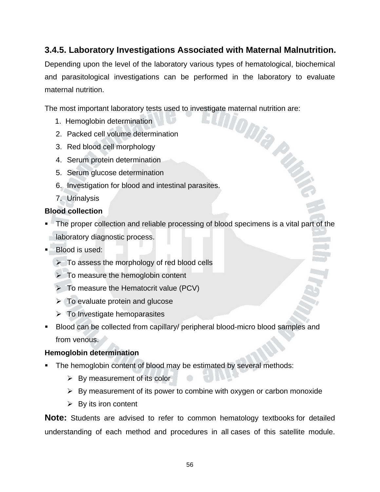#### **3.4.5. Laboratory Investigations Associated with Maternal Malnutrition.**

Depending upon the level of the laboratory various types of hematological, biochemical and parasitological investigations can be performed in the laboratory to evaluate maternal nutrition.

The most important laboratory tests used to investigate maternal nutrition are:<br>
1. Hemoglobin determination<br>
2. Dacked cell volume determination<br>
2. Dacked cell volume determination

- 1. Hemoglobin determination
- 2. Packed cell volume determination
- 3. Red blood cell morphology
- 4. Serum protein determination
- 5. Serum glucose determination
- 6. Investigation for blood and intestinal parasites.
- 7. Urinalysis

#### **Blood collection**

- The proper collection and reliable processing of blood specimens is a vital part of the laboratory diagnostic process.
- **Blood is used:** 
	- $\triangleright$  To assess the morphology of red blood cells
	- $\triangleright$  To measure the hemoglobin content
	- $\triangleright$  To measure the Hematocrit value (PCV)
	- $\triangleright$  To evaluate protein and glucose
	- $\triangleright$  To Investigate hemoparasites
- Blood can be collected from capillary/ peripheral blood-micro blood samples and from venous.

#### **Hemoglobin determination**

- The hemoglobin content of blood may be estimated by several methods:
	- $\triangleright$  By measurement of its color
	- $\triangleright$  By measurement of its power to combine with oxygen or carbon monoxide
	- $\triangleright$  By its iron content

**Note:** Students are advised to refer to common hematology textbooks for detailed understanding of each method and procedures in all cases of this satellite module.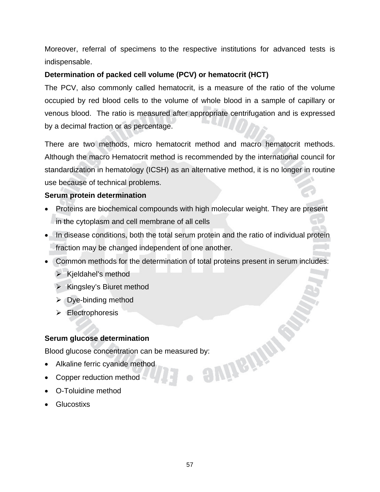Moreover, referral of specimens to the respective institutions for advanced tests is indispensable.

#### **Determination of packed cell volume (PCV) or hematocrit (HCT)**

The PCV, also commonly called hematocrit, is a measure of the ratio of the volume occupied by red blood cells to the volume of whole blood in a sample of capillary or venous blood. The ratio is measured after appropriate centrifugation and is expressed by a decimal fraction or as percentage.

There are two methods, micro hematocrit method and macro hematocrit methods. Although the macro Hematocrit method is recommended by the international council for standardization in hematology (ICSH) as an alternative method, it is no longer in routine use because of technical problems.

#### **Serum protein determination**

- Proteins are biochemical compounds with high molecular weight. They are present in the cytoplasm and cell membrane of all cells
- In disease conditions, both the total serum protein and the ratio of individual protein fraction may be changed independent of one another.
- Common methods for the determination of total proteins present in serum includes:
	- $\triangleright$  Kjeldahel's method
	- $\triangleright$  Kingsley's Biuret method
	- $\triangleright$  Dye-binding method
	- $\triangleright$  Electrophoresis

#### **Serum glucose determination**

Blood glucose concentration can be measured by:<br>• Alkaline ferric cyanide method<br>• Copper reduction method

- Alkaline ferric cyanide method
- Copper reduction method
- O-Toluidine method
- Glucostixs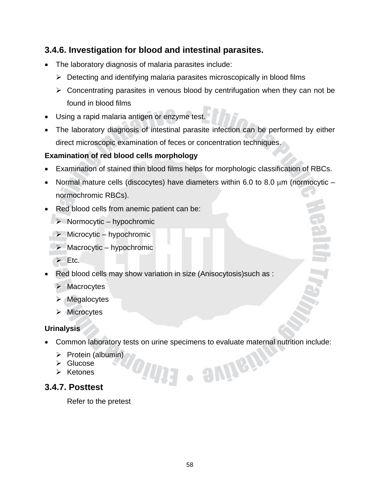#### **3.4.6. Investigation for blood and intestinal parasites.**

- The laboratory diagnosis of malaria parasites include:
	- $\triangleright$  Detecting and identifying malaria parasites microscopically in blood films
	- $\triangleright$  Concentrating parasites in venous blood by centrifugation when they can not be found in blood films
- Using a rapid malaria antigen or enzyme test.
- The laboratory diagnosis of intestinal parasite infection can be performed by either direct microscopic examination of feces or concentration techniques.

#### **Examination of red blood cells morphology**

- Examination of stained thin blood films helps for morphologic classification of RBCs.
- Normal mature cells (discocytes) have diameters within 6.0 to 8.0  $\mu$ m (normocytic normochromic RBCs).
- Red blood cells from anemic patient can be:
	- $\triangleright$  Normocytic hypochromic
		- $\triangleright$  Microcytic hypochromic
	- $\triangleright$  Macrocytic hypochromic
	- $\triangleright$  Etc.
- Red blood cells may show variation in size (Anisocytosis)such as :
	- $\triangleright$  Macrocytes
	- $\triangleright$  Megalocytes
	- $\triangleright$  Microcytes

#### **Urinalysis**

• Common laboratory tests on urine specimens to evaluate maternal nutrition include:

· SUIGIL

- $\triangleright$  Protein (albumin)
- $\triangleright$  Glucose
- ¾ Ketones

#### **3.4.7. Posttest**

Refer to the pretest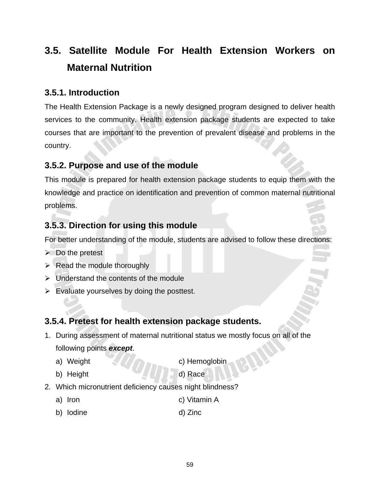# **3.5. Satellite Module For Health Extension Workers on Maternal Nutrition**

#### **3.5.1. Introduction**

The Health Extension Package is a newly designed program designed to deliver health services to the community. Health extension package students are expected to take courses that are important to the prevention of prevalent disease and problems in the country.

#### **3.5.2. Purpose and use of the module**

This module is prepared for health extension package students to equip them with the knowledge and practice on identification and prevention of common maternal nutritional problems.

#### **3.5.3. Direction for using this module**

For better understanding of the module, students are advised to follow these directions:

- $\triangleright$  Do the pretest
- $\triangleright$  Read the module thoroughly
- $\triangleright$  Understand the contents of the module
- $\triangleright$  Evaluate yourselves by doing the posttest.

#### **3.5.4. Pretest for health extension package students.**

- 1. During assessment of maternal nutritional status we mostly focus on all of the following points *except*.
	-

a) Weight c) Hemoglobin

b) Height d) Race

- 2. Which micronutrient deficiency causes night blindness?
	- a) Iron c) Vitamin A
	- b) Iodine d) Zinc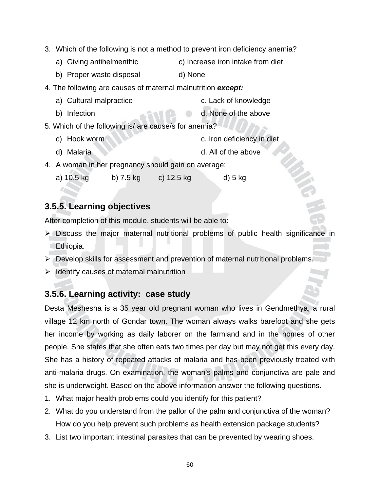- 3. Which of the following is not a method to prevent iron deficiency anemia?
	- a) Giving antihelmenthic c) Increase iron intake from diet
	- b) Proper waste disposal d) None
- 4. The following are causes of maternal malnutrition *except:*
	- a) Cultural malpractice c. Lack of knowledge
	- b) Infection **d.** None of the above
- 5. Which of the following is/ are cause/s for anemia?
	- c) Hook worm c. Iron deficiency in diet
	- d) Malaria d. All of the above
- 4. A woman in her pregnancy should gain on average:
	- a) 10.5 kg b) 7.5 kg c) 12.5 kg d) 5 kg

#### **3.5.5. Learning objectives**

After completion of this module, students will be able to:

- ¾ Discuss the major maternal nutritional problems of public health significance in Ethiopia.
- ¾ Develop skills for assessment and prevention of maternal nutritional problems.
- $\triangleright$  Identify causes of maternal malnutrition

#### **3.5.6. Learning activity: case study**

Desta Meshesha is a 35 year old pregnant woman who lives in Gendmethya, a rural village 12 km north of Gondar town. The woman always walks barefoot and she gets her income by working as daily laborer on the farmland and in the homes of other people. She states that she often eats two times per day but may not get this every day. She has a history of repeated attacks of malaria and has been previously treated with anti-malaria drugs. On examination, the woman's palms and conjunctiva are pale and she is underweight. Based on the above information answer the following questions.

- 1. What major health problems could you identify for this patient?
- 2. What do you understand from the pallor of the palm and conjunctiva of the woman? How do you help prevent such problems as health extension package students?
- 3. List two important intestinal parasites that can be prevented by wearing shoes.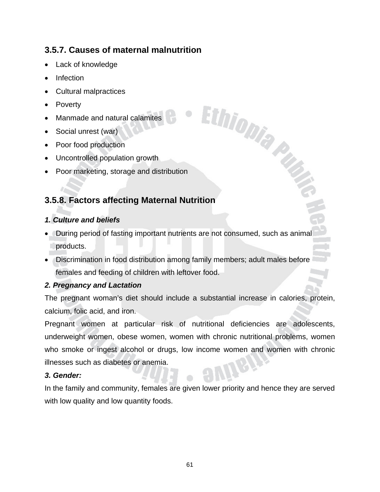#### **3.5.7. Causes of maternal malnutrition**

- Lack of knowledge
- Infection
- Cultural malpractices
- Poverty
- Manmade and natural calamites
- Social unrest (war)
- Poor food production
- Uncontrolled population growth
- Poor marketing, storage and distribution

#### **3.5.8. Factors affecting Maternal Nutrition**

#### *1. Culture and beliefs*

• During period of fasting important nutrients are not consumed, such as animal products.

Ethiopia Pro

• Discrimination in food distribution among family members; adult males before females and feeding of children with leftover food.

#### *2. Pregnancy and Lactation*

The pregnant woman's diet should include a substantial increase in calories, protein, calcium, folic acid, and iron.

Pregnant women at particular risk of nutritional deficiencies are adolescents, underweight women, obese women, women with chronic nutritional problems, women who smoke or ingest alcohol or drugs, low income women and women with chronic illnesses such as diabetes or anemia.

#### *3. Gender:*

In the family and community, females are given lower priority and hence they are served with low quality and low quantity foods.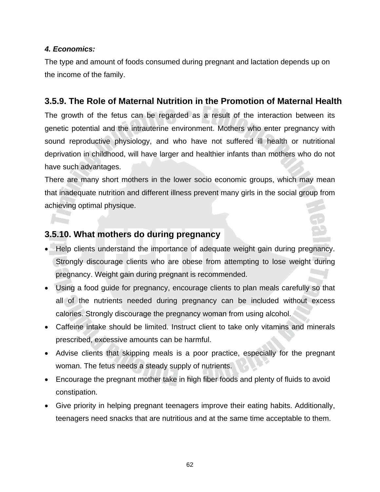#### *4. Economics:*

The type and amount of foods consumed during pregnant and lactation depends up on the income of the family.

#### **3.5.9. The Role of Maternal Nutrition in the Promotion of Maternal Health**

The growth of the fetus can be regarded as a result of the interaction between its genetic potential and the intrauterine environment. Mothers who enter pregnancy with sound reproductive physiology, and who have not suffered ill health or nutritional deprivation in childhood, will have larger and healthier infants than mothers who do not have such advantages.

There are many short mothers in the lower socio economic groups, which may mean that inadequate nutrition and different illness prevent many girls in the social group from achieving optimal physique.

#### **3.5.10. What mothers do during pregnancy**

- Help clients understand the importance of adequate weight gain during pregnancy. Strongly discourage clients who are obese from attempting to lose weight during pregnancy. Weight gain during pregnant is recommended.
- Using a food guide for pregnancy, encourage clients to plan meals carefully so that all of the nutrients needed during pregnancy can be included without excess calories. Strongly discourage the pregnancy woman from using alcohol.
- Caffeine intake should be limited. Instruct client to take only vitamins and minerals prescribed, excessive amounts can be harmful.
- Advise clients that skipping meals is a poor practice, especially for the pregnant woman. The fetus needs a steady supply of nutrients.
- Encourage the pregnant mother take in high fiber foods and plenty of fluids to avoid constipation.
- Give priority in helping pregnant teenagers improve their eating habits. Additionally, teenagers need snacks that are nutritious and at the same time acceptable to them.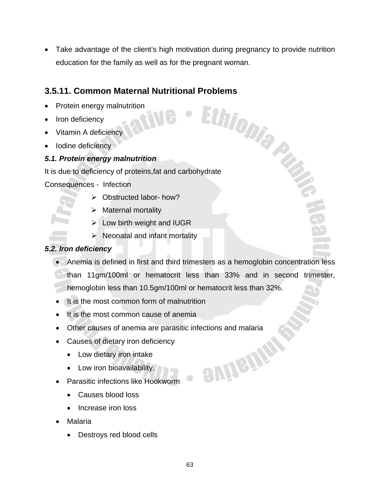Take advantage of the client's high motivation during pregnancy to provide nutrition education for the family as well as for the pregnant woman.

# **3.5.11. Common Maternal Nutritional Problems**<br>
• Protein energy malnutrition<br>
• Iron deficiency<br>
• Anticiency<br>
• Anticiency<br>
• Anticiency<br>
• Anticiency<br>
• Anticiency<br>
• Anticiency<br>
• Anticiency<br>
• Anticiency<br>
• Anticiency

- Protein energy malnutrition
- Iron deficiency
- Vitamin A deficiency
- Iodine deficiency

#### *5.1. Protein energy malnutrition*

It is due to deficiency of proteins,fat and carbohydrate

Consequences - Infection

- $\triangleright$  Obstructed labor- how?
- ¾ Maternal mortality
- $\blacktriangleright$  Low birth weight and IUGR
- $\triangleright$  Neonatal and infant mortality

#### *5.2. Iron deficiency*

- Anemia is defined in first and third trimesters as a hemoglobin concentration less
- than 11gm/100ml or hematocrit less than 33% and in second trimester,

**SUITEINS** 

hemoglobin less than 10.5gm/100ml or hematocrit less than 32%.

- It is the most common form of malnutrition
- It is the most common cause of anemia
- Other causes of anemia are parasitic infections and malaria
- Causes of dietary iron deficiency
	- Low dietary iron intake
	- Low iron bioavailability.
- Parasitic infections like Hookworm
	- Causes blood loss
	- Increase iron loss
- Malaria
	- Destroys red blood cells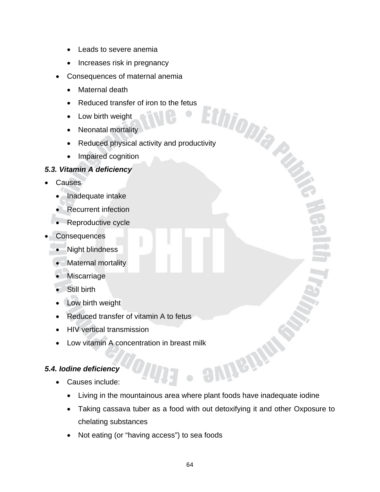- Leads to severe anemia
- Increases risk in pregnancy
- Consequences of maternal anemia
	- Maternal death
	- Reduced transfer of iron to the fetus
	- Low birth weight
	- Neonatal mortality
	- Reduced transie.<br>
	 Low birth weight<br>
	 Neonatal mortality<br>
	 Reduced physical activity and productivity<br>
	 Produced physical activity and productivity
	- Impaired cognition

# *5.3. Vitamin A deficiency*

- **Causes** 
	- Inadequate intake
	- Recurrent infection
	- Reproductive cycle
- **Consequences** 
	- Night blindness
	- Maternal mortality
	- **Miscarriage**
	- Still birth
	- Low birth weight
	- Reduced transfer of vitamin A to fetus
	- HIV vertical transmission
	- Low vitamin A concentration in breast milk<br>
	dine deficiency<br>
	Causes include:

# *5.4. Iodine deficiency*

- Causes include:
	- Living in the mountainous area where plant foods have inadequate iodine
	- Taking cassava tuber as a food with out detoxifying it and other Oxposure to chelating substances
	- Not eating (or "having access") to sea foods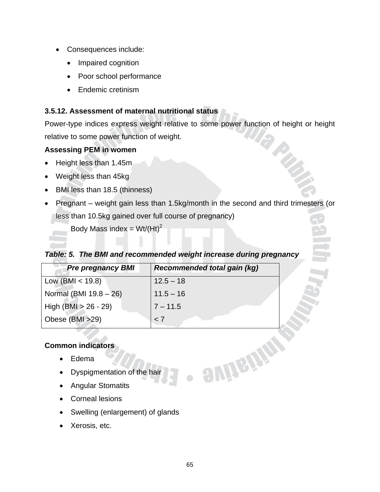- Consequences include:
	- Impaired cognition
	- Poor school performance
	- Endemic cretinism

#### **3.5.12. Assessment of maternal nutritional status**

Power-type indices express weight relative to some power function of height or height relative to some power function of weight.

#### **Assessing PEM in women**

- Height less than 1.45m
- Weight less than 45kg
- BMI less than 18.5 (thinness)
- Pregnant weight gain less than 1.5kg/month in the second and third trimesters (or less than 10.5kg gained over full course of pregnancy)

Body Mass index = Wt/(Ht)<sup>2</sup>

#### *Table: 5. The BMI and recommended weight increase during pregnancy*

| <b>Pre pregnancy BMI</b> | <b>Recommended total gain (kg)</b> |
|--------------------------|------------------------------------|
| Low (BMI $<$ 19.8)       | $12.5 - 18$                        |
| Normal (BMI 19.8 - 26)   | $11.5 - 16$                        |
| High $(BMI > 26 - 29)$   | $7 - 11.5$                         |
| Obese (BMI >29)          | < 7                                |

# **Common indicators**

- Edema
- Dyspigmentation of the hair
- Angular Stomatits
- Corneal lesions
- Swelling (enlargement) of glands
- Xerosis, etc.

empany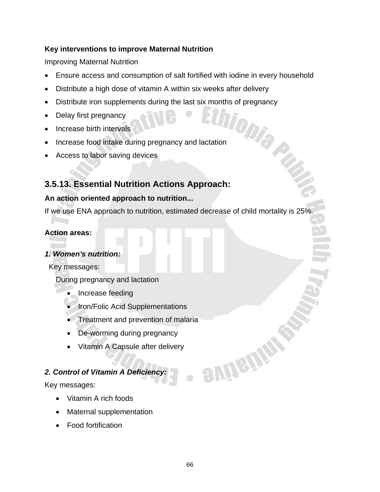# **Key interventions to improve Maternal Nutrition**

Improving Maternal Nutrition

- Ensure access and consumption of salt fortified with iodine in every household
- Distribute a high dose of vitamin A within six weeks after delivery
- Distribute iron supplements during the last six months of pregnancy<br>• Delay first pregnancy<br>• Delay first pregnancy<br>• Delay first pregnancy<br>• Delay first pregnancy<br>• Delay first pregnancy and lactation
- Delay first pregnancy
- Increase birth intervals
- Increase food intake during pregnancy and lactation
- Access to labor saving devices

# **3.5.13. Essential Nutrition Actions Approach:**

# **An action oriented approach to nutrition...**

If we use ENA approach to nutrition, estimated decrease of child mortality is 25%.

#### **Action areas:**

# *1. Women's nutrition:*

Key messages:

During pregnancy and lactation

- Increase feeding
- Iron/Folic Acid Supplementations
- Treatment and prevention of malaria
- De-worming during pregnancy
- Vitamin A Capsule after delivery

# *2. Control of Vitamin A Deficiency:*

Key messages:

- Vitamin A rich foods
- Maternal supplementation
- Food fortification

**SUITSITE**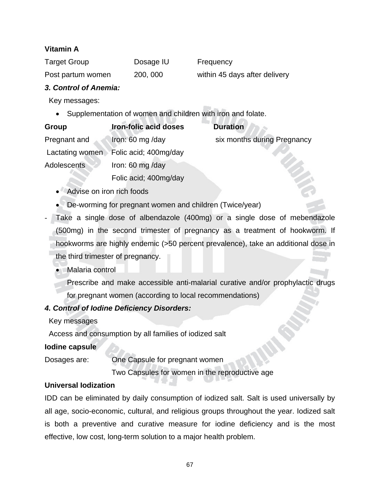# **Vitamin A**

| Target Group      | Dosage IU | Frequency                     |
|-------------------|-----------|-------------------------------|
| Post partum women | 200, 000  | within 45 days after delivery |

#### *3. Control of Anemia:*

Key messages:

• Supplementation of women and children with iron and folate.

| Group              | <b>Iron-folic acid doses</b> | <b>Duration</b>             |
|--------------------|------------------------------|-----------------------------|
| Pregnant and       | Iron: 60 mg /day             | six months during Pregnancy |
| Lactating women    | Folic acid; 400mg/day        |                             |
| <b>Adolescents</b> | Iron: 60 mg/day              |                             |
|                    | Folic acid; 400mg/day        |                             |

- Advise on iron rich foods
- De-worming for pregnant women and children (Twice/year)
- Take a single dose of albendazole (400mg) or a single dose of mebendazole (500mg) in the second trimester of pregnancy as a treatment of hookworm. If hookworms are highly endemic (>50 percent prevalence), take an additional dose in the third trimester of pregnancy.
	- Malaria control
		- Prescribe and make accessible anti-malarial curative and/or prophylactic drugs for pregnant women (according to local recommendations)

# *4. Control of Iodine Deficiency Disorders:*

Key messages

Access and consumption by all families of iodized salt

# **Iodine capsule**

Dosages are: One Capsule for pregnant women

Two Capsules for women in the reproductive age

# **Universal Iodization**

IDD can be eliminated by daily consumption of iodized salt. Salt is used universally by all age, socio-economic, cultural, and religious groups throughout the year. Iodized salt is both a preventive and curative measure for iodine deficiency and is the most effective, low cost, long-term solution to a major health problem.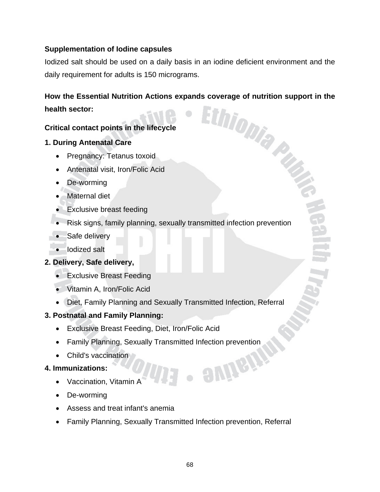# **Supplementation of Iodine capsules**

Iodized salt should be used on a daily basis in an iodine deficient environment and the daily requirement for adults is 150 micrograms.

# **How the Essential Nutrition Actions expands coverage of nutrition support in the health sector:**<br> **Actions in the lifecycle health sector:**

# **Critical contact points in the lifecycle**

# **1. During Antenatal Care**

- Pregnancy: Tetanus toxoid
- Antenatal visit, Iron/Folic Acid
- De-worming
- Maternal diet
- Exclusive breast feeding
- Risk signs, family planning, sexually transmitted infection prevention
- Safe delivery
- Iodized salt

# **2. Delivery, Safe delivery,**

- Exclusive Breast Feeding
- Vitamin A, Iron/Folic Acid
- Diet, Family Planning and Sexually Transmitted Infection, Referral

# **3. Postnatal and Family Planning:**

- Exclusive Breast Feeding, Diet, Iron/Folic Acid
- Family Planning, Sexually Transmitted Infection prevention
- Child's vaccination

# **4. Immunizations:**

- Vaccination, Vitamin A
- De-worming
- Assess and treat infant's anemia
- Family Planning, Sexually Transmitted Infection prevention, Referral

evireir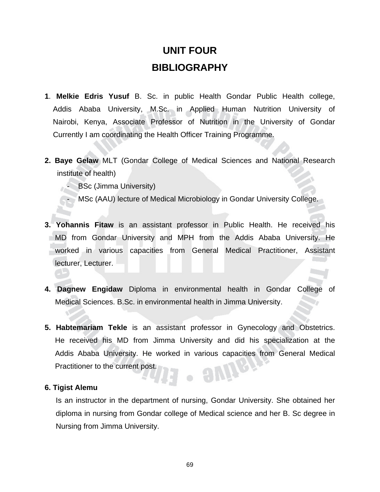# **UNIT FOUR BIBLIOGRAPHY**

- **1**. **Melkie Edris Yusuf** B. Sc. in public Health Gondar Public Health college, Addis Ababa University, M.Sc. in Applied Human Nutrition University of Nairobi, Kenya, Associate Professor of Nutrition in the University of Gondar Currently I am coordinating the Health Officer Training Programme.
- **2. Baye Gelaw** MLT (Gondar College of Medical Sciences and National Research institute of health)
	- **BSc (Jimma University)**
	- MSc (AAU) lecture of Medical Microbiology in Gondar University College.
- **3. Yohannis Fitaw** is an assistant professor in Public Health. He received his MD from Gondar University and MPH from the Addis Ababa University. He worked in various capacities from General Medical Practitioner, Assistant lecturer, Lecturer.
- **4. Dagnew Engidaw** Diploma in environmental health in Gondar College of Medical Sciences. B.Sc. in environmental health in Jimma University.
- **5. Habtemariam Tekle** is an assistant professor in Gynecology and Obstetrics. He received his MD from Jimma University and did his specialization at the Addis Ababa University. He worked in various capacities from General Medical Practitioner to the current post.  $-9$ Vir

#### **6. Tigist Alemu**

Is an instructor in the department of nursing, Gondar University. She obtained her diploma in nursing from Gondar college of Medical science and her B. Sc degree in Nursing from Jimma University.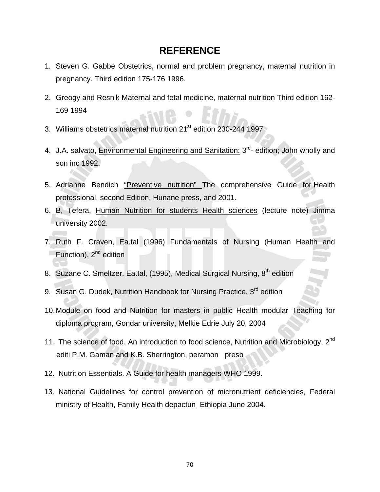# **REFERENCE**

- 1. Steven G. Gabbe Obstetrics, normal and problem pregnancy, maternal nutrition in pregnancy. Third edition 175-176 1996.
- 2. Greogy and Resnik Maternal and fetal medicine, maternal nutrition Third edition 162- 169 1994
- 3. Williams obstetrics maternal nutrition 21<sup>st</sup> edition 230-244 1997
- 4. J.A. salvato, Environmental Engineering and Sanitation: 3<sup>rd</sup>- edition: John wholly and son inc 1992.
- 5. Adrianne Bendich "Preventive nutrition" The comprehensive Guide for Health professional, second Edition, Hunane press, and 2001.
- 6. B, Tefera, Human Nutrition for students Health sciences (lecture note) Jimma university 2002.
- 7. Ruth F. Craven, Ea.tal (1996) Fundamentals of Nursing (Human Health and Function), 2<sup>nd</sup> edition
- 8. Suzane C. Smeltzer. Ea.tal, (1995), Medical Surgical Nursing, 8<sup>th</sup> edition
- 9. Susan G. Dudek, Nutrition Handbook for Nursing Practice, 3<sup>rd</sup> edition
- 10. Module on food and Nutrition for masters in public Health modular Teaching for diploma program, Gondar university, Melkie Edrie July 20, 2004
- 11. The science of food. An introduction to food science, Nutrition and Microbiology, 2<sup>nd</sup> editi P.M. Gaman and K.B. Sherrington, peramon presb
- 12. Nutrition Essentials. A Guide for health managers WHO 1999.
- 13. National Guidelines for control prevention of micronutrient deficiencies, Federal ministry of Health, Family Health depactun Ethiopia June 2004.